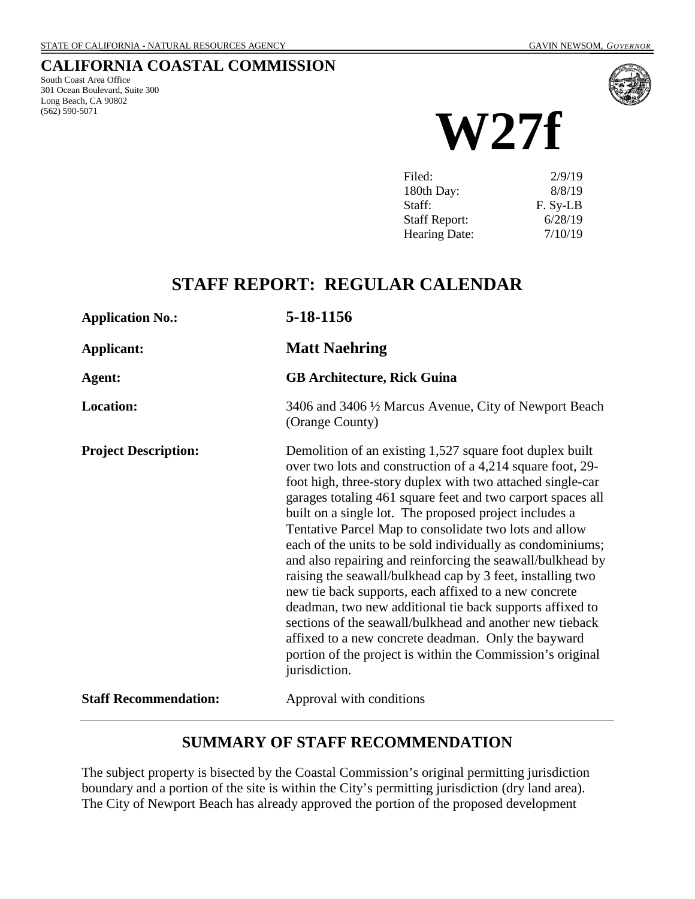# **CALIFORNIA COASTAL COMMISSION**

South Coast Area Office 301 Ocean Boulevard, Suite 300 Long Beach, CA 90802 (562) 590-5071



**W27f**

| Filed:               | 2/9/19   |
|----------------------|----------|
| 180th Day:           | 8/8/19   |
| Staff:               | F. Sy-LB |
| <b>Staff Report:</b> | 6/28/19  |
| <b>Hearing Date:</b> | 7/10/19  |
|                      |          |

# **STAFF REPORT: REGULAR CALENDAR**

| <b>Application No.:</b>      | 5-18-1156                                                                                                                                                                                                                                                                                                                                                                                                                                                                                                                                                                                                                                                                                                                                                                                                                                                                                |
|------------------------------|------------------------------------------------------------------------------------------------------------------------------------------------------------------------------------------------------------------------------------------------------------------------------------------------------------------------------------------------------------------------------------------------------------------------------------------------------------------------------------------------------------------------------------------------------------------------------------------------------------------------------------------------------------------------------------------------------------------------------------------------------------------------------------------------------------------------------------------------------------------------------------------|
| <b>Applicant:</b>            | <b>Matt Naehring</b>                                                                                                                                                                                                                                                                                                                                                                                                                                                                                                                                                                                                                                                                                                                                                                                                                                                                     |
| Agent:                       | <b>GB Architecture, Rick Guina</b>                                                                                                                                                                                                                                                                                                                                                                                                                                                                                                                                                                                                                                                                                                                                                                                                                                                       |
| <b>Location:</b>             | 3406 and 3406 1/2 Marcus Avenue, City of Newport Beach<br>(Orange County)                                                                                                                                                                                                                                                                                                                                                                                                                                                                                                                                                                                                                                                                                                                                                                                                                |
| <b>Project Description:</b>  | Demolition of an existing 1,527 square foot duplex built<br>over two lots and construction of a 4,214 square foot, 29-<br>foot high, three-story duplex with two attached single-car<br>garages totaling 461 square feet and two carport spaces all<br>built on a single lot. The proposed project includes a<br>Tentative Parcel Map to consolidate two lots and allow<br>each of the units to be sold individually as condominiums;<br>and also repairing and reinforcing the seawall/bulkhead by<br>raising the seawall/bulkhead cap by 3 feet, installing two<br>new tie back supports, each affixed to a new concrete<br>deadman, two new additional tie back supports affixed to<br>sections of the seawall/bulkhead and another new tieback<br>affixed to a new concrete deadman. Only the bayward<br>portion of the project is within the Commission's original<br>jurisdiction. |
| <b>Staff Recommendation:</b> | Approval with conditions                                                                                                                                                                                                                                                                                                                                                                                                                                                                                                                                                                                                                                                                                                                                                                                                                                                                 |

### **SUMMARY OF STAFF RECOMMENDATION**

The subject property is bisected by the Coastal Commission's original permitting jurisdiction boundary and a portion of the site is within the City's permitting jurisdiction (dry land area). The City of Newport Beach has already approved the portion of the proposed development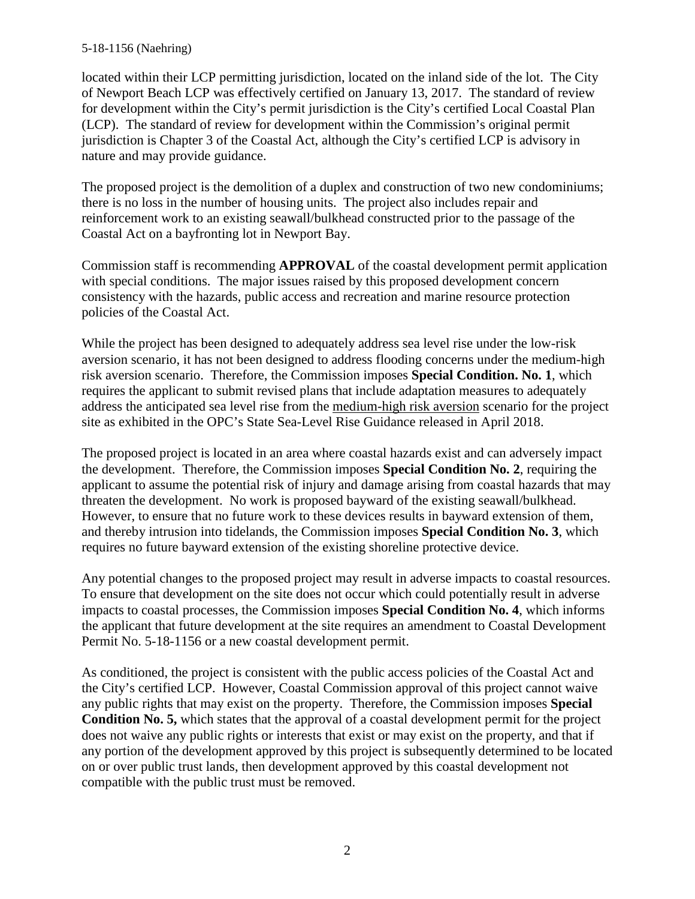located within their LCP permitting jurisdiction, located on the inland side of the lot. The City of Newport Beach LCP was effectively certified on January 13, 2017. The standard of review for development within the City's permit jurisdiction is the City's certified Local Coastal Plan (LCP). The standard of review for development within the Commission's original permit jurisdiction is Chapter 3 of the Coastal Act, although the City's certified LCP is advisory in nature and may provide guidance.

The proposed project is the demolition of a duplex and construction of two new condominiums; there is no loss in the number of housing units. The project also includes repair and reinforcement work to an existing seawall/bulkhead constructed prior to the passage of the Coastal Act on a bayfronting lot in Newport Bay.

Commission staff is recommending **APPROVAL** of the coastal development permit application with special conditions. The major issues raised by this proposed development concern consistency with the hazards, public access and recreation and marine resource protection policies of the Coastal Act.

While the project has been designed to adequately address sea level rise under the low-risk aversion scenario, it has not been designed to address flooding concerns under the medium-high risk aversion scenario. Therefore, the Commission imposes **Special Condition. No. 1**, which requires the applicant to submit revised plans that include adaptation measures to adequately address the anticipated sea level rise from the medium-high risk aversion scenario for the project site as exhibited in the OPC's State Sea-Level Rise Guidance released in April 2018.

The proposed project is located in an area where coastal hazards exist and can adversely impact the development. Therefore, the Commission imposes **Special Condition No. 2**, requiring the applicant to assume the potential risk of injury and damage arising from coastal hazards that may threaten the development. No work is proposed bayward of the existing seawall/bulkhead. However, to ensure that no future work to these devices results in bayward extension of them, and thereby intrusion into tidelands, the Commission imposes **Special Condition No. 3**, which requires no future bayward extension of the existing shoreline protective device.

Any potential changes to the proposed project may result in adverse impacts to coastal resources. To ensure that development on the site does not occur which could potentially result in adverse impacts to coastal processes, the Commission imposes **Special Condition No. 4**, which informs the applicant that future development at the site requires an amendment to Coastal Development Permit No. 5-18-1156 or a new coastal development permit.

As conditioned, the project is consistent with the public access policies of the Coastal Act and the City's certified LCP. However, Coastal Commission approval of this project cannot waive any public rights that may exist on the property. Therefore, the Commission imposes **Special Condition No. 5,** which states that the approval of a coastal development permit for the project does not waive any public rights or interests that exist or may exist on the property, and that if any portion of the development approved by this project is subsequently determined to be located on or over public trust lands, then development approved by this coastal development not compatible with the public trust must be removed.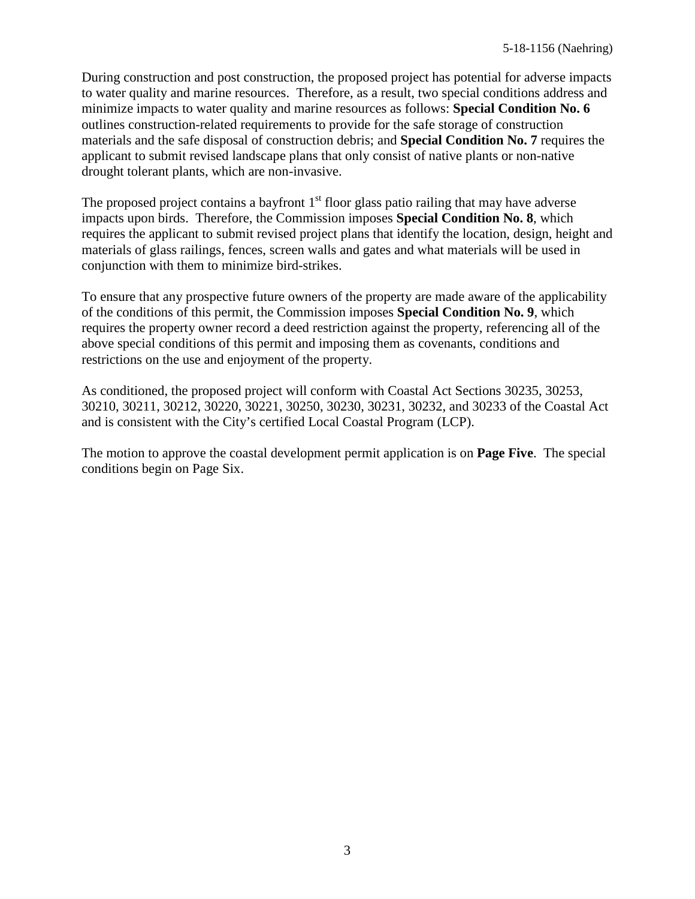During construction and post construction, the proposed project has potential for adverse impacts to water quality and marine resources. Therefore, as a result, two special conditions address and minimize impacts to water quality and marine resources as follows: **Special Condition No. 6** outlines construction-related requirements to provide for the safe storage of construction materials and the safe disposal of construction debris; and **Special Condition No. 7** requires the applicant to submit revised landscape plans that only consist of native plants or non-native drought tolerant plants, which are non-invasive.

The proposed project contains a bayfront  $1<sup>st</sup>$  floor glass patio railing that may have adverse impacts upon birds. Therefore, the Commission imposes **Special Condition No. 8**, which requires the applicant to submit revised project plans that identify the location, design, height and materials of glass railings, fences, screen walls and gates and what materials will be used in conjunction with them to minimize bird-strikes.

To ensure that any prospective future owners of the property are made aware of the applicability of the conditions of this permit, the Commission imposes **Special Condition No. 9**, which requires the property owner record a deed restriction against the property, referencing all of the above special conditions of this permit and imposing them as covenants, conditions and restrictions on the use and enjoyment of the property.

As conditioned, the proposed project will conform with Coastal Act Sections 30235, 30253, 30210, 30211, 30212, 30220, 30221, 30250, 30230, 30231, 30232, and 30233 of the Coastal Act and is consistent with the City's certified Local Coastal Program (LCP).

The motion to approve the coastal development permit application is on **Page Five**. The special conditions begin on Page Six.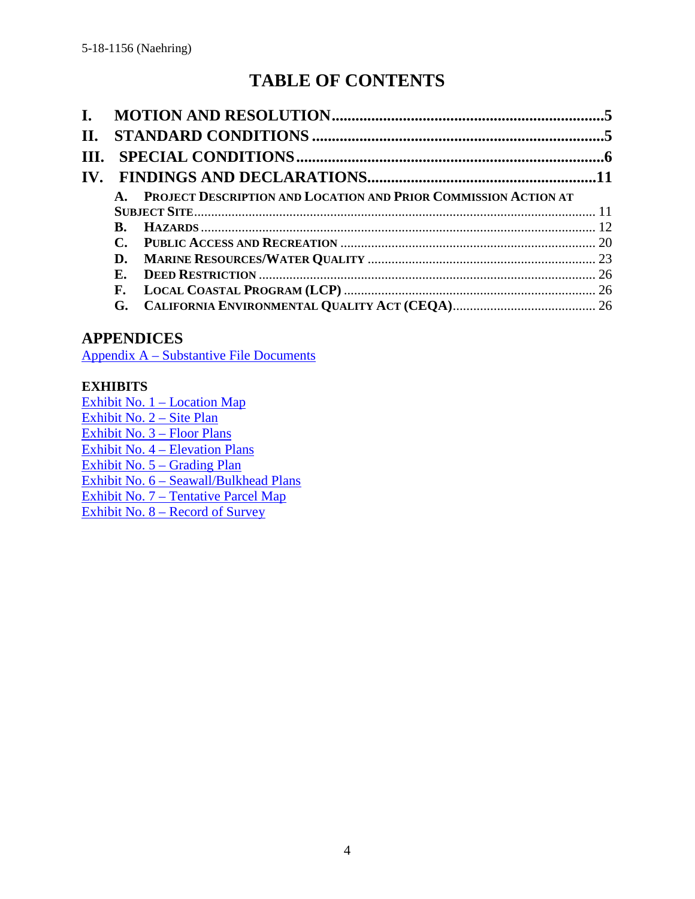# **TABLE OF CONTENTS**

| $\mathbf{I}$ . |                |                                                                 |  |
|----------------|----------------|-----------------------------------------------------------------|--|
| II.            |                |                                                                 |  |
| III.           |                |                                                                 |  |
|                |                |                                                                 |  |
|                | $\mathbf{A}$ . | PROJECT DESCRIPTION AND LOCATION AND PRIOR COMMISSION ACTION AT |  |
|                |                |                                                                 |  |
|                | B.             |                                                                 |  |
|                |                |                                                                 |  |
|                | D.             |                                                                 |  |
|                | $\mathbf{E}$ . |                                                                 |  |
|                | F.             |                                                                 |  |
|                |                |                                                                 |  |

# **APPENDICES**

Appendix A – [Substantive File Documents](#page-27-0)

#### **EXHIBITS**

[Exhibit No. 1 –](https://documents.coastal.ca.gov/reports/2019/7/W27f/W27f-7-2019-exhibits.pdf) Location Map [Exhibit No. 2](https://documents.coastal.ca.gov/reports/2019/7/W27f/W27f-7-2019-exhibits.pdf) – Site Plan [Exhibit No. 3 –](https://documents.coastal.ca.gov/reports/2019/7/W27f/W27f-7-2019-exhibits.pdf) Floor Plans Exhibit No. 4 – [Elevation Plans](https://documents.coastal.ca.gov/reports/2019/7/W27f/W27f-7-2019-exhibits.pdf) [Exhibit No. 5 –](https://documents.coastal.ca.gov/reports/2019/7/W27f/W27f-7-2019-exhibits.pdf) Grading Plan Exhibit No. 6 – [Seawall/Bulkhead Plans](https://documents.coastal.ca.gov/reports/2019/7/W27f/W27f-7-2019-exhibits.pdf) Exhibit No. 7 – [Tentative Parcel Map](https://documents.coastal.ca.gov/reports/2019/7/W27f/W27f-7-2019-exhibits.pdf) Exhibit No. 8 – [Record of Survey](https://documents.coastal.ca.gov/reports/2019/7/W27f/W27f-7-2019-exhibits.pdf)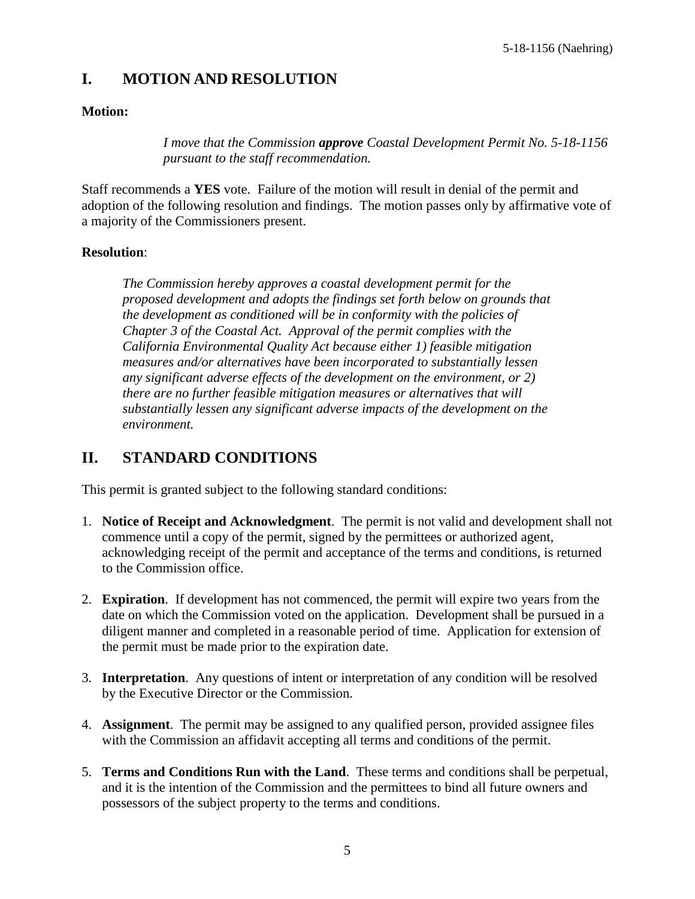# <span id="page-4-0"></span>**I. MOTION AND RESOLUTION**

#### **Motion:**

*I move that the Commission approve Coastal Development Permit No. 5-18-1156 pursuant to the staff recommendation.*

Staff recommends a **YES** vote. Failure of the motion will result in denial of the permit and adoption of the following resolution and findings. The motion passes only by affirmative vote of a majority of the Commissioners present.

#### **Resolution**:

*The Commission hereby approves a coastal development permit for the proposed development and adopts the findings set forth below on grounds that the development as conditioned will be in conformity with the policies of Chapter 3 of the Coastal Act. Approval of the permit complies with the California Environmental Quality Act because either 1) feasible mitigation measures and/or alternatives have been incorporated to substantially lessen any significant adverse effects of the development on the environment, or 2) there are no further feasible mitigation measures or alternatives that will substantially lessen any significant adverse impacts of the development on the environment.*

# <span id="page-4-1"></span>**II. STANDARD CONDITIONS**

This permit is granted subject to the following standard conditions:

- 1. **Notice of Receipt and Acknowledgment**. The permit is not valid and development shall not commence until a copy of the permit, signed by the permittees or authorized agent, acknowledging receipt of the permit and acceptance of the terms and conditions, is returned to the Commission office.
- 2. **Expiration**. If development has not commenced, the permit will expire two years from the date on which the Commission voted on the application. Development shall be pursued in a diligent manner and completed in a reasonable period of time. Application for extension of the permit must be made prior to the expiration date.
- 3. **Interpretation**. Any questions of intent or interpretation of any condition will be resolved by the Executive Director or the Commission.
- 4. **Assignment**. The permit may be assigned to any qualified person, provided assignee files with the Commission an affidavit accepting all terms and conditions of the permit.
- 5. **Terms and Conditions Run with the Land**. These terms and conditions shall be perpetual, and it is the intention of the Commission and the permittees to bind all future owners and possessors of the subject property to the terms and conditions.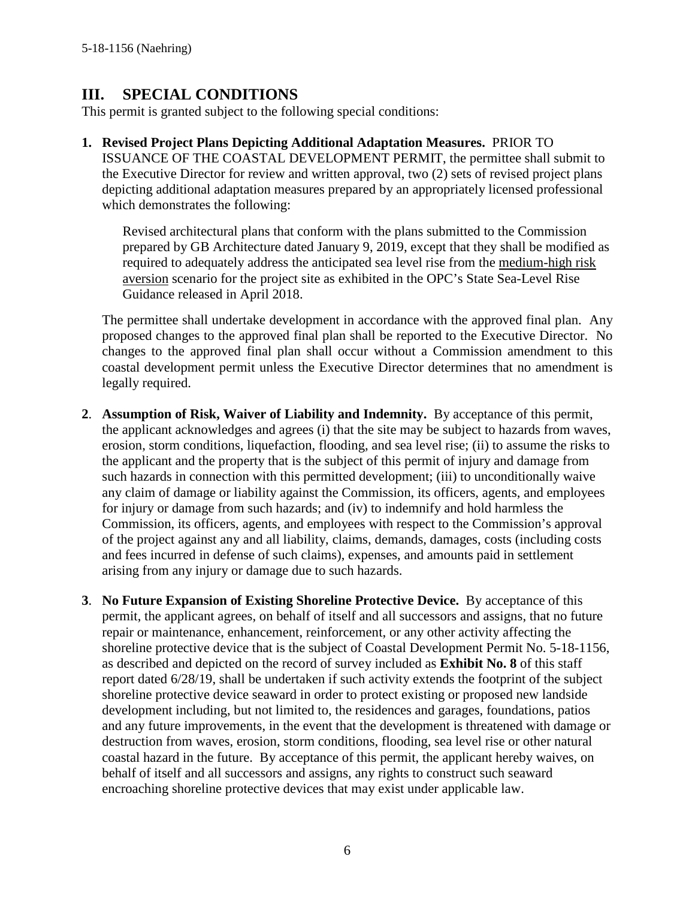# <span id="page-5-0"></span>**III. SPECIAL CONDITIONS**

This permit is granted subject to the following special conditions:

**1. Revised Project Plans Depicting Additional Adaptation Measures.** PRIOR TO ISSUANCE OF THE COASTAL DEVELOPMENT PERMIT, the permittee shall submit to the Executive Director for review and written approval, two (2) sets of revised project plans depicting additional adaptation measures prepared by an appropriately licensed professional which demonstrates the following:

Revised architectural plans that conform with the plans submitted to the Commission prepared by GB Architecture dated January 9, 2019, except that they shall be modified as required to adequately address the anticipated sea level rise from the medium-high risk aversion scenario for the project site as exhibited in the OPC's State Sea-Level Rise Guidance released in April 2018.

The permittee shall undertake development in accordance with the approved final plan. Any proposed changes to the approved final plan shall be reported to the Executive Director. No changes to the approved final plan shall occur without a Commission amendment to this coastal development permit unless the Executive Director determines that no amendment is legally required.

- **2**. **Assumption of Risk, Waiver of Liability and Indemnity.** By acceptance of this permit, the applicant acknowledges and agrees (i) that the site may be subject to hazards from waves, erosion, storm conditions, liquefaction, flooding, and sea level rise; (ii) to assume the risks to the applicant and the property that is the subject of this permit of injury and damage from such hazards in connection with this permitted development; (iii) to unconditionally waive any claim of damage or liability against the Commission, its officers, agents, and employees for injury or damage from such hazards; and (iv) to indemnify and hold harmless the Commission, its officers, agents, and employees with respect to the Commission's approval of the project against any and all liability, claims, demands, damages, costs (including costs and fees incurred in defense of such claims), expenses, and amounts paid in settlement arising from any injury or damage due to such hazards.
- **3**. **No Future Expansion of Existing Shoreline Protective Device.** By acceptance of this permit, the applicant agrees, on behalf of itself and all successors and assigns, that no future repair or maintenance, enhancement, reinforcement, or any other activity affecting the shoreline protective device that is the subject of Coastal Development Permit No. 5-18-1156, as described and depicted on the record of survey included as **Exhibit No. 8** of this staff report dated 6/28/19, shall be undertaken if such activity extends the footprint of the subject shoreline protective device seaward in order to protect existing or proposed new landside development including, but not limited to, the residences and garages, foundations, patios and any future improvements, in the event that the development is threatened with damage or destruction from waves, erosion, storm conditions, flooding, sea level rise or other natural coastal hazard in the future. By acceptance of this permit, the applicant hereby waives, on behalf of itself and all successors and assigns, any rights to construct such seaward encroaching shoreline protective devices that may exist under applicable law.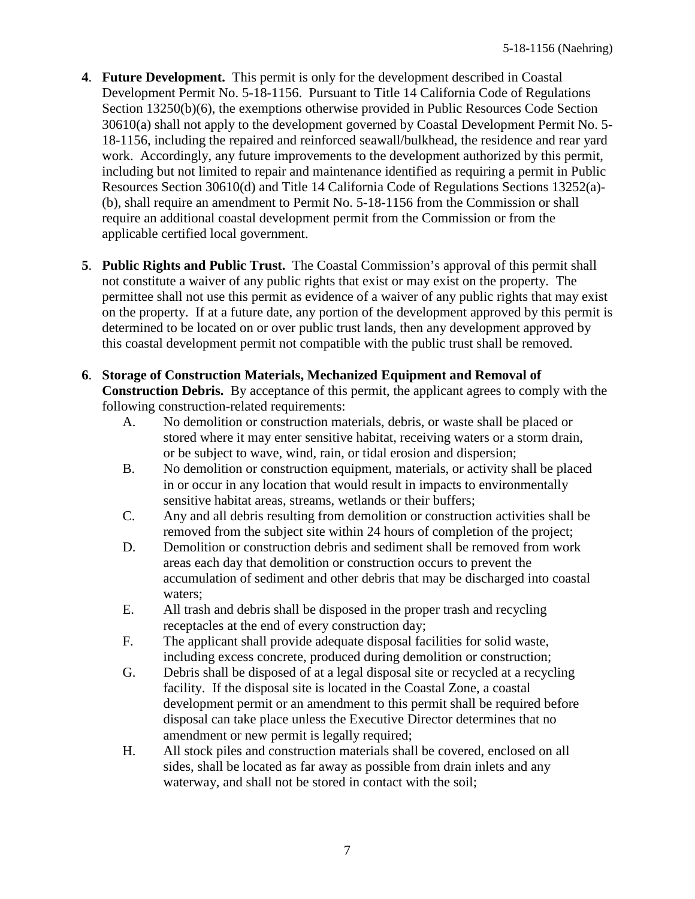- **4**. **Future Development.** This permit is only for the development described in Coastal Development Permit No. 5-18-1156. Pursuant to Title 14 California Code of Regulations Section 13250(b)(6), the exemptions otherwise provided in Public Resources Code Section 30610(a) shall not apply to the development governed by Coastal Development Permit No. 5- 18-1156, including the repaired and reinforced seawall/bulkhead, the residence and rear yard work. Accordingly, any future improvements to the development authorized by this permit, including but not limited to repair and maintenance identified as requiring a permit in Public Resources Section 30610(d) and Title 14 California Code of Regulations Sections 13252(a)- (b), shall require an amendment to Permit No. 5-18-1156 from the Commission or shall require an additional coastal development permit from the Commission or from the applicable certified local government.
- **5**. **Public Rights and Public Trust.** The Coastal Commission's approval of this permit shall not constitute a waiver of any public rights that exist or may exist on the property. The permittee shall not use this permit as evidence of a waiver of any public rights that may exist on the property. If at a future date, any portion of the development approved by this permit is determined to be located on or over public trust lands, then any development approved by this coastal development permit not compatible with the public trust shall be removed.
- **6**. **Storage of Construction Materials, Mechanized Equipment and Removal of Construction Debris.** By acceptance of this permit, the applicant agrees to comply with the following construction-related requirements:
	- A. No demolition or construction materials, debris, or waste shall be placed or stored where it may enter sensitive habitat, receiving waters or a storm drain, or be subject to wave, wind, rain, or tidal erosion and dispersion;
	- B. No demolition or construction equipment, materials, or activity shall be placed in or occur in any location that would result in impacts to environmentally sensitive habitat areas, streams, wetlands or their buffers;
	- C. Any and all debris resulting from demolition or construction activities shall be removed from the subject site within 24 hours of completion of the project;
	- D. Demolition or construction debris and sediment shall be removed from work areas each day that demolition or construction occurs to prevent the accumulation of sediment and other debris that may be discharged into coastal waters;
	- E. All trash and debris shall be disposed in the proper trash and recycling receptacles at the end of every construction day;
	- F. The applicant shall provide adequate disposal facilities for solid waste, including excess concrete, produced during demolition or construction;
	- G. Debris shall be disposed of at a legal disposal site or recycled at a recycling facility. If the disposal site is located in the Coastal Zone, a coastal development permit or an amendment to this permit shall be required before disposal can take place unless the Executive Director determines that no amendment or new permit is legally required;
	- H. All stock piles and construction materials shall be covered, enclosed on all sides, shall be located as far away as possible from drain inlets and any waterway, and shall not be stored in contact with the soil;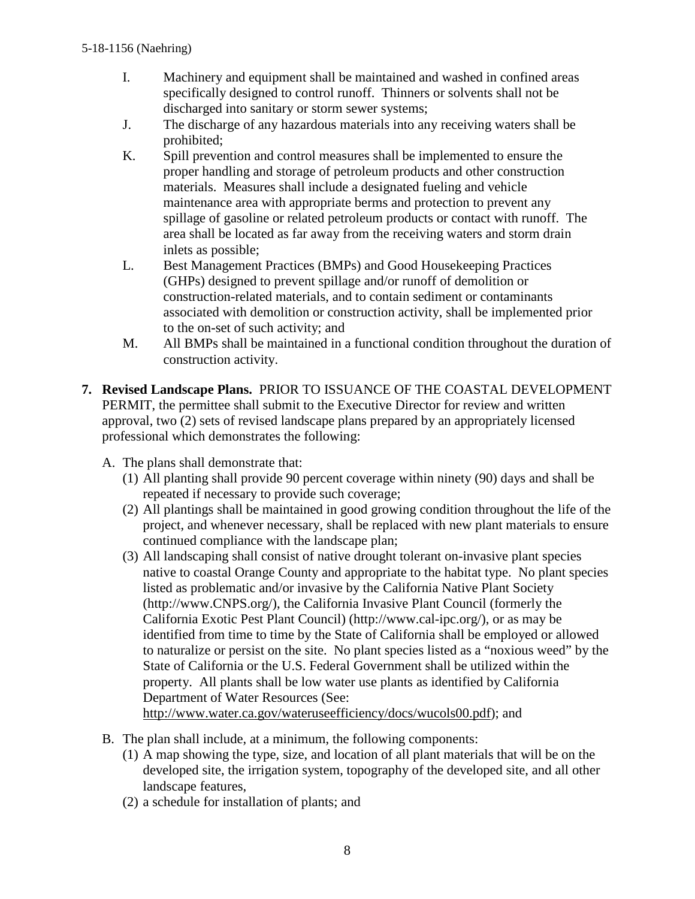- I. Machinery and equipment shall be maintained and washed in confined areas specifically designed to control runoff. Thinners or solvents shall not be discharged into sanitary or storm sewer systems;
- J. The discharge of any hazardous materials into any receiving waters shall be prohibited;
- K. Spill prevention and control measures shall be implemented to ensure the proper handling and storage of petroleum products and other construction materials. Measures shall include a designated fueling and vehicle maintenance area with appropriate berms and protection to prevent any spillage of gasoline or related petroleum products or contact with runoff. The area shall be located as far away from the receiving waters and storm drain inlets as possible;
- L. Best Management Practices (BMPs) and Good Housekeeping Practices (GHPs) designed to prevent spillage and/or runoff of demolition or construction-related materials, and to contain sediment or contaminants associated with demolition or construction activity, shall be implemented prior to the on-set of such activity; and
- M. All BMPs shall be maintained in a functional condition throughout the duration of construction activity.
- **7. Revised Landscape Plans.** PRIOR TO ISSUANCE OF THE COASTAL DEVELOPMENT PERMIT, the permittee shall submit to the Executive Director for review and written approval, two (2) sets of revised landscape plans prepared by an appropriately licensed professional which demonstrates the following:
	- A. The plans shall demonstrate that:
		- (1) All planting shall provide 90 percent coverage within ninety (90) days and shall be repeated if necessary to provide such coverage;
		- (2) All plantings shall be maintained in good growing condition throughout the life of the project, and whenever necessary, shall be replaced with new plant materials to ensure continued compliance with the landscape plan;
		- (3) All landscaping shall consist of native drought tolerant on-invasive plant species native to coastal Orange County and appropriate to the habitat type. No plant species listed as problematic and/or invasive by the California Native Plant Society (http://www.CNPS.org/), the California Invasive Plant Council (formerly the California Exotic Pest Plant Council) (http://www.cal-ipc.org/), or as may be identified from time to time by the State of California shall be employed or allowed to naturalize or persist on the site. No plant species listed as a "noxious weed" by the State of California or the U.S. Federal Government shall be utilized within the property. All plants shall be low water use plants as identified by California Department of Water Resources (See:

[http://www.water.ca.gov/wateruseefficiency/docs/wucols00.pdf\)](http://www.water.ca.gov/wateruseefficiency/docs/wucols00.pdf); and

- B. The plan shall include, at a minimum, the following components:
	- (1) A map showing the type, size, and location of all plant materials that will be on the developed site, the irrigation system, topography of the developed site, and all other landscape features,
	- (2) a schedule for installation of plants; and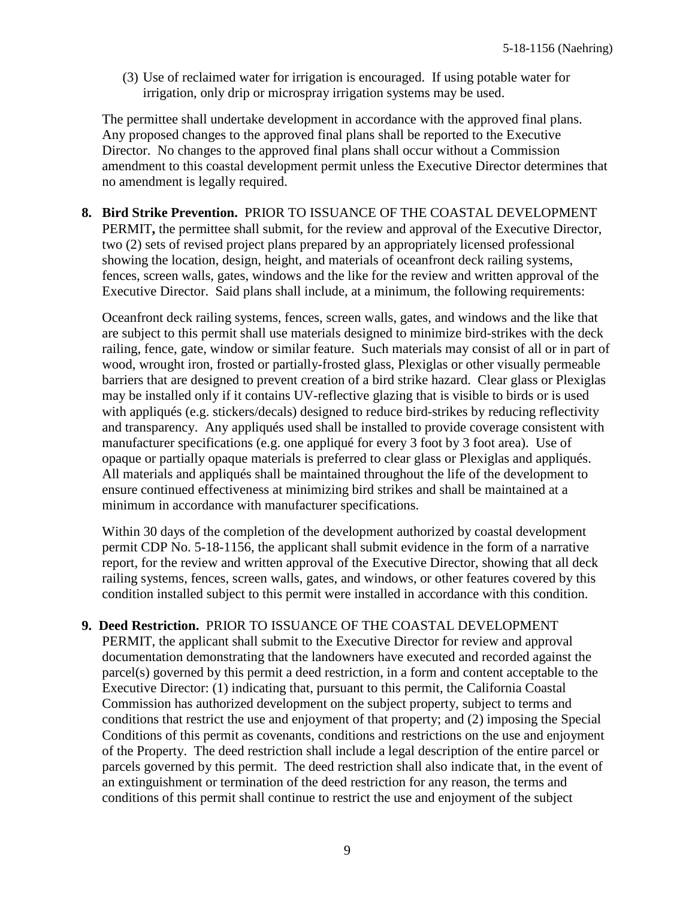(3) Use of reclaimed water for irrigation is encouraged. If using potable water for irrigation, only drip or microspray irrigation systems may be used.

The permittee shall undertake development in accordance with the approved final plans. Any proposed changes to the approved final plans shall be reported to the Executive Director. No changes to the approved final plans shall occur without a Commission amendment to this coastal development permit unless the Executive Director determines that no amendment is legally required.

**8. Bird Strike Prevention.** PRIOR TO ISSUANCE OF THE COASTAL DEVELOPMENT PERMIT**,** the permittee shall submit, for the review and approval of the Executive Director, two (2) sets of revised project plans prepared by an appropriately licensed professional showing the location, design, height, and materials of oceanfront deck railing systems, fences, screen walls, gates, windows and the like for the review and written approval of the Executive Director. Said plans shall include, at a minimum, the following requirements:

Oceanfront deck railing systems, fences, screen walls, gates, and windows and the like that are subject to this permit shall use materials designed to minimize bird-strikes with the deck railing, fence, gate, window or similar feature. Such materials may consist of all or in part of wood, wrought iron, frosted or partially-frosted glass, Plexiglas or other visually permeable barriers that are designed to prevent creation of a bird strike hazard. Clear glass or Plexiglas may be installed only if it contains UV-reflective glazing that is visible to birds or is used with appliqués (e.g. stickers/decals) designed to reduce bird-strikes by reducing reflectivity and transparency. Any appliqués used shall be installed to provide coverage consistent with manufacturer specifications (e.g. one appliqué for every 3 foot by 3 foot area). Use of opaque or partially opaque materials is preferred to clear glass or Plexiglas and appliqués. All materials and appliqués shall be maintained throughout the life of the development to ensure continued effectiveness at minimizing bird strikes and shall be maintained at a minimum in accordance with manufacturer specifications.

Within 30 days of the completion of the development authorized by coastal development permit CDP No. 5-18-1156, the applicant shall submit evidence in the form of a narrative report, for the review and written approval of the Executive Director, showing that all deck railing systems, fences, screen walls, gates, and windows, or other features covered by this condition installed subject to this permit were installed in accordance with this condition.

#### **9. Deed Restriction.** PRIOR TO ISSUANCE OF THE COASTAL DEVELOPMENT

PERMIT, the applicant shall submit to the Executive Director for review and approval documentation demonstrating that the landowners have executed and recorded against the parcel(s) governed by this permit a deed restriction, in a form and content acceptable to the Executive Director: (1) indicating that, pursuant to this permit, the California Coastal Commission has authorized development on the subject property, subject to terms and conditions that restrict the use and enjoyment of that property; and (2) imposing the Special Conditions of this permit as covenants, conditions and restrictions on the use and enjoyment of the Property. The deed restriction shall include a legal description of the entire parcel or parcels governed by this permit. The deed restriction shall also indicate that, in the event of an extinguishment or termination of the deed restriction for any reason, the terms and conditions of this permit shall continue to restrict the use and enjoyment of the subject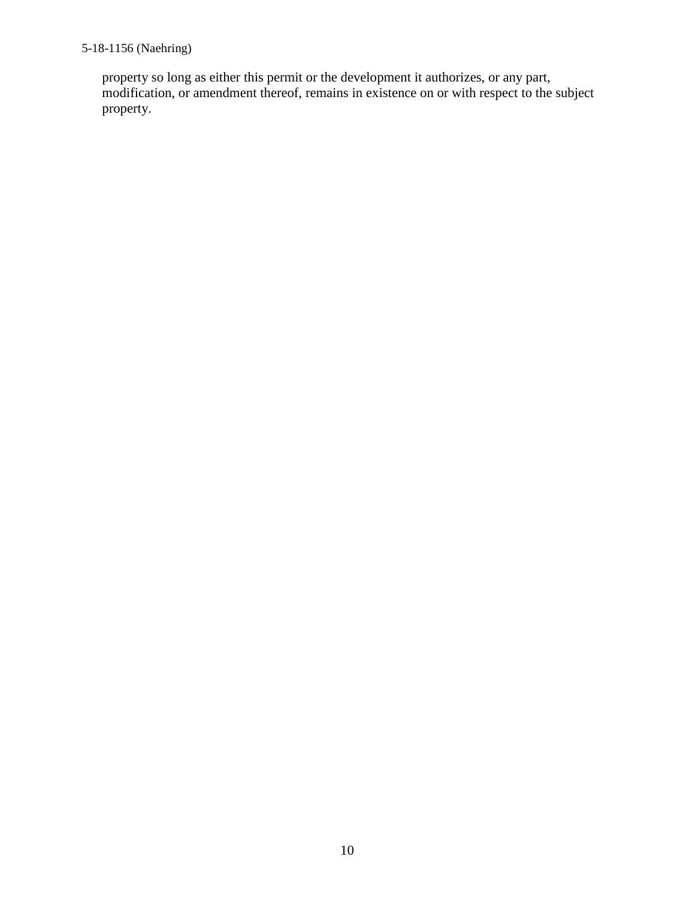property so long as either this permit or the development it authorizes, or any part, modification, or amendment thereof, remains in existence on or with respect to the subject property.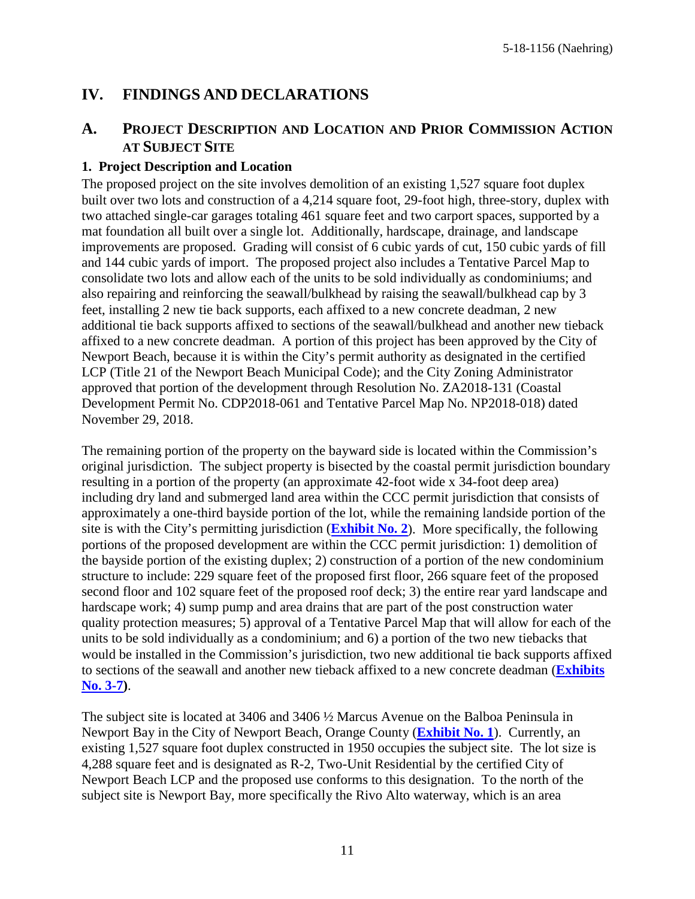# <span id="page-10-0"></span>**IV. FINDINGS AND DECLARATIONS**

# <span id="page-10-1"></span>**A. PROJECT DESCRIPTION AND LOCATION AND PRIOR COMMISSION ACTION AT SUBJECT SITE**

#### **1. Project Description and Location**

The proposed project on the site involves demolition of an existing 1,527 square foot duplex built over two lots and construction of a 4,214 square foot, 29-foot high, three-story, duplex with two attached single-car garages totaling 461 square feet and two carport spaces, supported by a mat foundation all built over a single lot. Additionally, hardscape, drainage, and landscape improvements are proposed. Grading will consist of 6 cubic yards of cut, 150 cubic yards of fill and 144 cubic yards of import. The proposed project also includes a Tentative Parcel Map to consolidate two lots and allow each of the units to be sold individually as condominiums; and also repairing and reinforcing the seawall/bulkhead by raising the seawall/bulkhead cap by 3 feet, installing 2 new tie back supports, each affixed to a new concrete deadman, 2 new additional tie back supports affixed to sections of the seawall/bulkhead and another new tieback affixed to a new concrete deadman. A portion of this project has been approved by the City of Newport Beach, because it is within the City's permit authority as designated in the certified LCP (Title 21 of the Newport Beach Municipal Code); and the City Zoning Administrator approved that portion of the development through Resolution No. ZA2018-131 (Coastal Development Permit No. CDP2018-061 and Tentative Parcel Map No. NP2018-018) dated November 29, 2018.

The remaining portion of the property on the bayward side is located within the Commission's original jurisdiction. The subject property is bisected by the coastal permit jurisdiction boundary resulting in a portion of the property (an approximate 42-foot wide x 34-foot deep area) including dry land and submerged land area within the CCC permit jurisdiction that consists of approximately a one-third bayside portion of the lot, while the remaining landside portion of the site is with the City's permitting jurisdiction (**[Exhibit No. 2](https://documents.coastal.ca.gov/reports/2019/7/W27f/W27f-7-2019-exhibits.pdf)**). More specifically, the following portions of the proposed development are within the CCC permit jurisdiction: 1) demolition of the bayside portion of the existing duplex; 2) construction of a portion of the new condominium structure to include: 229 square feet of the proposed first floor, 266 square feet of the proposed second floor and 102 square feet of the proposed roof deck; 3) the entire rear yard landscape and hardscape work; 4) sump pump and area drains that are part of the post construction water quality protection measures; 5) approval of a Tentative Parcel Map that will allow for each of the units to be sold individually as a condominium; and 6) a portion of the two new tiebacks that would be installed in the Commission's jurisdiction, two new additional tie back supports affixed to sections of the seawall and another new tieback affixed to a new concrete deadman (**[Exhibits](https://documents.coastal.ca.gov/reports/2019/7/W27f/W27f-7-2019-exhibits.pdf) [No. 3-7\)](https://documents.coastal.ca.gov/reports/2019/7/W27f/W27f-7-2019-exhibits.pdf)**.

The subject site is located at 3406 and 3406  $\frac{1}{2}$  Marcus Avenue on the Balboa Peninsula in Newport Bay in the City of Newport Beach, Orange County (**[Exhibit No. 1](https://documents.coastal.ca.gov/reports/2019/7/W27f/W27f-7-2019-exhibits.pdf)**). Currently, an existing 1,527 square foot duplex constructed in 1950 occupies the subject site. The lot size is 4,288 square feet and is designated as R-2, Two-Unit Residential by the certified City of Newport Beach LCP and the proposed use conforms to this designation. To the north of the subject site is Newport Bay, more specifically the Rivo Alto waterway, which is an area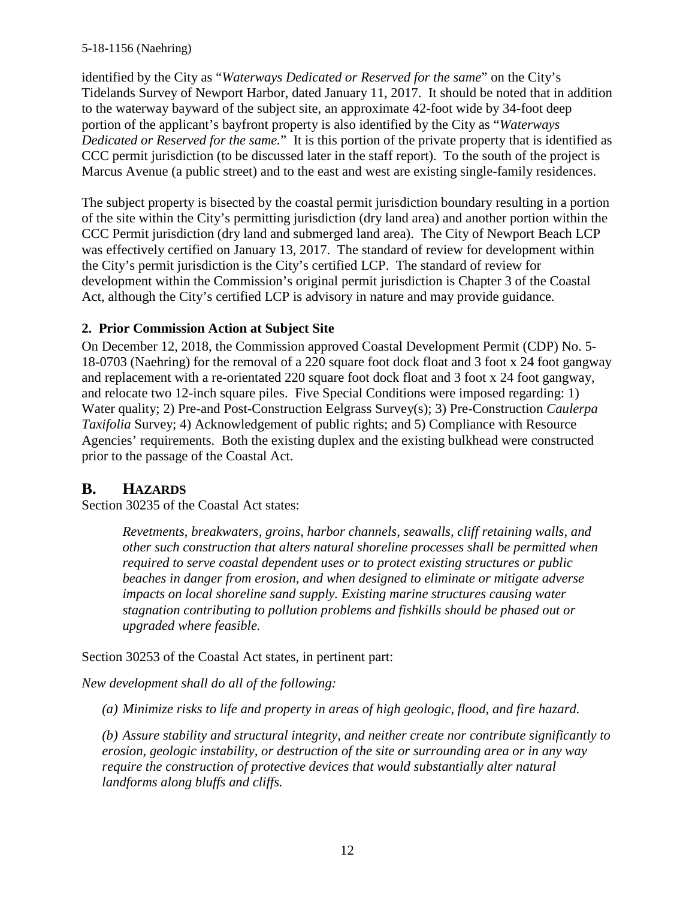identified by the City as "*Waterways Dedicated or Reserved for the same*" on the City's Tidelands Survey of Newport Harbor, dated January 11, 2017. It should be noted that in addition to the waterway bayward of the subject site, an approximate 42-foot wide by 34-foot deep portion of the applicant's bayfront property is also identified by the City as "*Waterways Dedicated or Reserved for the same.*" It is this portion of the private property that is identified as CCC permit jurisdiction (to be discussed later in the staff report). To the south of the project is Marcus Avenue (a public street) and to the east and west are existing single-family residences.

The subject property is bisected by the coastal permit jurisdiction boundary resulting in a portion of the site within the City's permitting jurisdiction (dry land area) and another portion within the CCC Permit jurisdiction (dry land and submerged land area). The City of Newport Beach LCP was effectively certified on January 13, 2017. The standard of review for development within the City's permit jurisdiction is the City's certified LCP. The standard of review for development within the Commission's original permit jurisdiction is Chapter 3 of the Coastal Act, although the City's certified LCP is advisory in nature and may provide guidance.

#### **2. Prior Commission Action at Subject Site**

On December 12, 2018, the Commission approved Coastal Development Permit (CDP) No. 5- 18-0703 (Naehring) for the removal of a 220 square foot dock float and 3 foot x 24 foot gangway and replacement with a re-orientated 220 square foot dock float and 3 foot x 24 foot gangway, and relocate two 12-inch square piles. Five Special Conditions were imposed regarding: 1) Water quality; 2) Pre-and Post-Construction Eelgrass Survey(s); 3) Pre-Construction *Caulerpa Taxifolia* Survey; 4) Acknowledgement of public rights; and 5) Compliance with Resource Agencies' requirements. Both the existing duplex and the existing bulkhead were constructed prior to the passage of the Coastal Act.

# <span id="page-11-0"></span>**B. HAZARDS**

Section 30235 of the Coastal Act states:

*Revetments, breakwaters, groins, harbor channels, seawalls, cliff retaining walls, and other such construction that alters natural shoreline processes shall be permitted when required to serve coastal dependent uses or to protect existing structures or public beaches in danger from erosion, and when designed to eliminate or mitigate adverse impacts on local shoreline sand supply. Existing marine structures causing water stagnation contributing to pollution problems and fishkills should be phased out or upgraded where feasible.*

Section 30253 of the Coastal Act states, in pertinent part:

*New development shall do all of the following:*

*(a) Minimize risks to life and property in areas of high geologic, flood, and fire hazard.*

*(b) Assure stability and structural integrity, and neither create nor contribute significantly to erosion, geologic instability, or destruction of the site or surrounding area or in any way require the construction of protective devices that would substantially alter natural landforms along bluffs and cliffs.*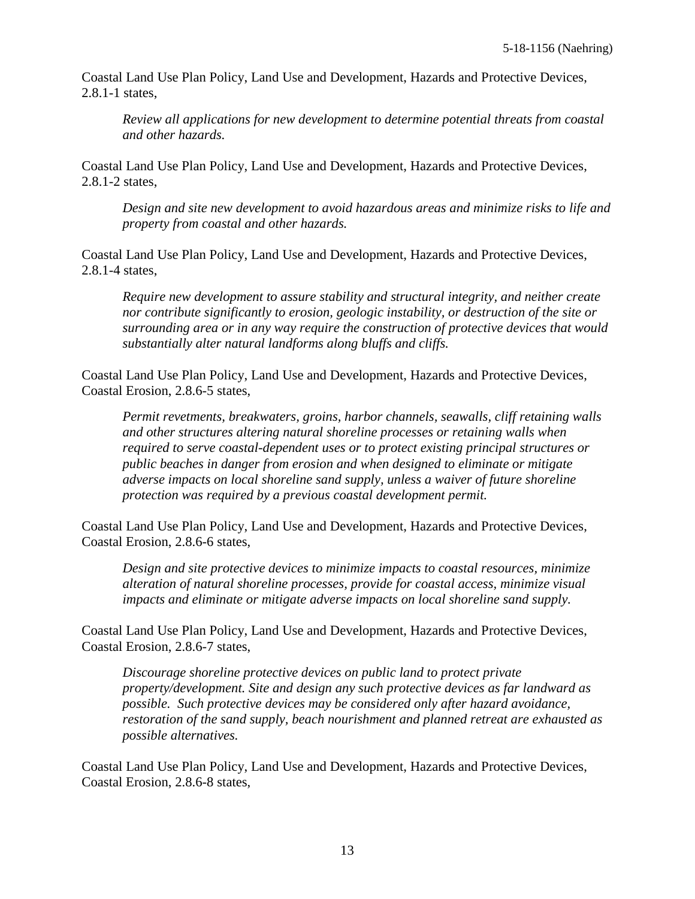Coastal Land Use Plan Policy, Land Use and Development, Hazards and Protective Devices, 2.8.1-1 states,

*Review all applications for new development to determine potential threats from coastal and other hazards.*

Coastal Land Use Plan Policy, Land Use and Development, Hazards and Protective Devices, 2.8.1-2 states,

*Design and site new development to avoid hazardous areas and minimize risks to life and property from coastal and other hazards.*

Coastal Land Use Plan Policy, Land Use and Development, Hazards and Protective Devices, 2.8.1-4 states,

*Require new development to assure stability and structural integrity, and neither create nor contribute significantly to erosion, geologic instability, or destruction of the site or surrounding area or in any way require the construction of protective devices that would substantially alter natural landforms along bluffs and cliffs.*

Coastal Land Use Plan Policy, Land Use and Development, Hazards and Protective Devices, Coastal Erosion, 2.8.6-5 states,

*Permit revetments, breakwaters, groins, harbor channels, seawalls, cliff retaining walls and other structures altering natural shoreline processes or retaining walls when required to serve coastal-dependent uses or to protect existing principal structures or public beaches in danger from erosion and when designed to eliminate or mitigate adverse impacts on local shoreline sand supply, unless a waiver of future shoreline protection was required by a previous coastal development permit.*

Coastal Land Use Plan Policy, Land Use and Development, Hazards and Protective Devices, Coastal Erosion, 2.8.6-6 states,

*Design and site protective devices to minimize impacts to coastal resources, minimize alteration of natural shoreline processes, provide for coastal access, minimize visual impacts and eliminate or mitigate adverse impacts on local shoreline sand supply.*

Coastal Land Use Plan Policy, Land Use and Development, Hazards and Protective Devices, Coastal Erosion, 2.8.6-7 states,

*Discourage shoreline protective devices on public land to protect private property/development. Site and design any such protective devices as far landward as possible. Such protective devices may be considered only after hazard avoidance, restoration of the sand supply, beach nourishment and planned retreat are exhausted as possible alternatives.*

Coastal Land Use Plan Policy, Land Use and Development, Hazards and Protective Devices, Coastal Erosion, 2.8.6-8 states,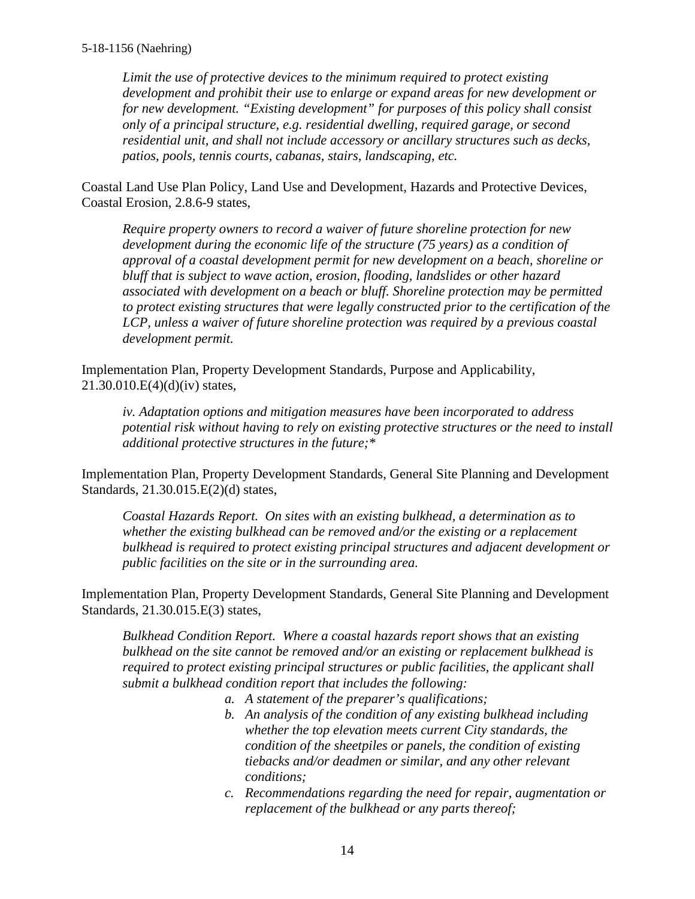*Limit the use of protective devices to the minimum required to protect existing development and prohibit their use to enlarge or expand areas for new development or for new development. "Existing development" for purposes of this policy shall consist only of a principal structure, e.g. residential dwelling, required garage, or second residential unit, and shall not include accessory or ancillary structures such as decks, patios, pools, tennis courts, cabanas, stairs, landscaping, etc.*

Coastal Land Use Plan Policy, Land Use and Development, Hazards and Protective Devices, Coastal Erosion, 2.8.6-9 states,

*Require property owners to record a waiver of future shoreline protection for new development during the economic life of the structure (75 years) as a condition of approval of a coastal development permit for new development on a beach, shoreline or bluff that is subject to wave action, erosion, flooding, landslides or other hazard associated with development on a beach or bluff. Shoreline protection may be permitted to protect existing structures that were legally constructed prior to the certification of the LCP, unless a waiver of future shoreline protection was required by a previous coastal development permit.*

Implementation Plan, Property Development Standards, Purpose and Applicability, 21.30.010.E(4)(d)(iv) states,

*iv. Adaptation options and mitigation measures have been incorporated to address potential risk without having to rely on existing protective structures or the need to install additional protective structures in the future;\**

Implementation Plan, Property Development Standards, General Site Planning and Development Standards, 21.30.015.E(2)(d) states,

*Coastal Hazards Report. On sites with an existing bulkhead, a determination as to whether the existing bulkhead can be removed and/or the existing or a replacement bulkhead is required to protect existing principal structures and adjacent development or public facilities on the site or in the surrounding area.*

Implementation Plan, Property Development Standards, General Site Planning and Development Standards, 21.30.015.E(3) states,

*Bulkhead Condition Report. Where a coastal hazards report shows that an existing bulkhead on the site cannot be removed and/or an existing or replacement bulkhead is required to protect existing principal structures or public facilities, the applicant shall submit a bulkhead condition report that includes the following:*

- *a. A statement of the preparer's qualifications;*
- *b. An analysis of the condition of any existing bulkhead including whether the top elevation meets current City standards, the condition of the sheetpiles or panels, the condition of existing tiebacks and/or deadmen or similar, and any other relevant conditions;*
- *c. Recommendations regarding the need for repair, augmentation or replacement of the bulkhead or any parts thereof;*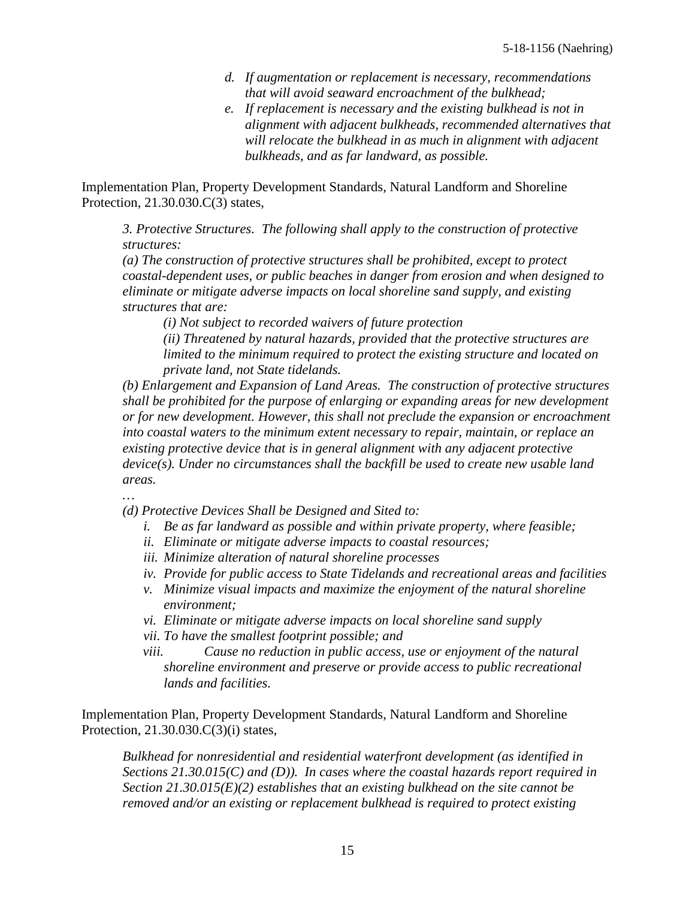- *d. If augmentation or replacement is necessary, recommendations that will avoid seaward encroachment of the bulkhead;*
- *e. If replacement is necessary and the existing bulkhead is not in alignment with adjacent bulkheads, recommended alternatives that will relocate the bulkhead in as much in alignment with adjacent bulkheads, and as far landward, as possible.*

Implementation Plan, Property Development Standards, Natural Landform and Shoreline Protection, 21.30.030.C(3) states,

*3. Protective Structures. The following shall apply to the construction of protective structures:*

*(a) The construction of protective structures shall be prohibited, except to protect coastal-dependent uses, or public beaches in danger from erosion and when designed to eliminate or mitigate adverse impacts on local shoreline sand supply, and existing structures that are:* 

*(i) Not subject to recorded waivers of future protection*

*(ii) Threatened by natural hazards, provided that the protective structures are limited to the minimum required to protect the existing structure and located on private land, not State tidelands.*

*(b) Enlargement and Expansion of Land Areas. The construction of protective structures shall be prohibited for the purpose of enlarging or expanding areas for new development or for new development. However, this shall not preclude the expansion or encroachment into coastal waters to the minimum extent necessary to repair, maintain, or replace an existing protective device that is in general alignment with any adjacent protective device(s). Under no circumstances shall the backfill be used to create new usable land areas.*

*…*

*(d) Protective Devices Shall be Designed and Sited to:*

- *i. Be as far landward as possible and within private property, where feasible;*
- *ii. Eliminate or mitigate adverse impacts to coastal resources;*
- *iii. Minimize alteration of natural shoreline processes*
- *iv. Provide for public access to State Tidelands and recreational areas and facilities*
- *v. Minimize visual impacts and maximize the enjoyment of the natural shoreline environment;*
- *vi. Eliminate or mitigate adverse impacts on local shoreline sand supply*
- *vii. To have the smallest footprint possible; and*
- *viii. Cause no reduction in public access, use or enjoyment of the natural shoreline environment and preserve or provide access to public recreational lands and facilities.*

Implementation Plan, Property Development Standards, Natural Landform and Shoreline Protection, 21.30.030.C(3)(i) states,

*Bulkhead for nonresidential and residential waterfront development (as identified in Sections 21.30.015(C) and (D)). In cases where the coastal hazards report required in Section 21.30.015(E)(2) establishes that an existing bulkhead on the site cannot be removed and/or an existing or replacement bulkhead is required to protect existing*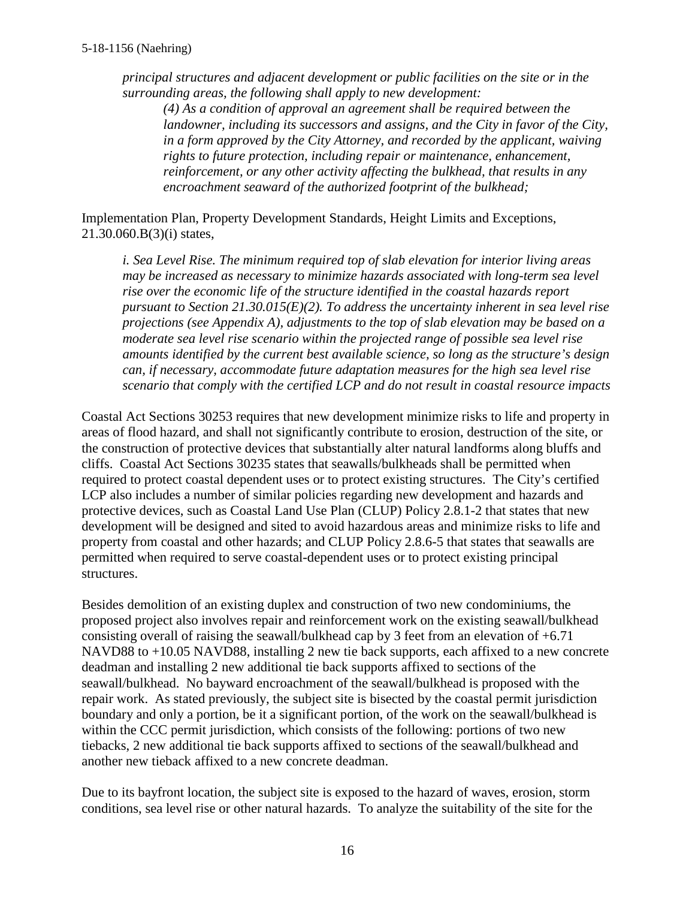*principal structures and adjacent development or public facilities on the site or in the surrounding areas, the following shall apply to new development:*

*(4) As a condition of approval an agreement shall be required between the landowner, including its successors and assigns, and the City in favor of the City, in a form approved by the City Attorney, and recorded by the applicant, waiving rights to future protection, including repair or maintenance, enhancement, reinforcement, or any other activity affecting the bulkhead, that results in any encroachment seaward of the authorized footprint of the bulkhead;*

Implementation Plan, Property Development Standards, Height Limits and Exceptions, 21.30.060.B(3)(i) states,

*i. Sea Level Rise. The minimum required top of slab elevation for interior living areas may be increased as necessary to minimize hazards associated with long-term sea level rise over the economic life of the structure identified in the coastal hazards report pursuant to Section 21.30.015(E)(2). To address the uncertainty inherent in sea level rise projections (see Appendix A), adjustments to the top of slab elevation may be based on a moderate sea level rise scenario within the projected range of possible sea level rise amounts identified by the current best available science, so long as the structure's design can, if necessary, accommodate future adaptation measures for the high sea level rise scenario that comply with the certified LCP and do not result in coastal resource impacts* 

Coastal Act Sections 30253 requires that new development minimize risks to life and property in areas of flood hazard, and shall not significantly contribute to erosion, destruction of the site, or the construction of protective devices that substantially alter natural landforms along bluffs and cliffs. Coastal Act Sections 30235 states that seawalls/bulkheads shall be permitted when required to protect coastal dependent uses or to protect existing structures. The City's certified LCP also includes a number of similar policies regarding new development and hazards and protective devices, such as Coastal Land Use Plan (CLUP) Policy 2.8.1-2 that states that new development will be designed and sited to avoid hazardous areas and minimize risks to life and property from coastal and other hazards; and CLUP Policy 2.8.6-5 that states that seawalls are permitted when required to serve coastal-dependent uses or to protect existing principal structures.

Besides demolition of an existing duplex and construction of two new condominiums, the proposed project also involves repair and reinforcement work on the existing seawall/bulkhead consisting overall of raising the seawall/bulkhead cap by 3 feet from an elevation of +6.71 NAVD88 to +10.05 NAVD88, installing 2 new tie back supports, each affixed to a new concrete deadman and installing 2 new additional tie back supports affixed to sections of the seawall/bulkhead. No bayward encroachment of the seawall/bulkhead is proposed with the repair work. As stated previously, the subject site is bisected by the coastal permit jurisdiction boundary and only a portion, be it a significant portion, of the work on the seawall/bulkhead is within the CCC permit jurisdiction, which consists of the following: portions of two new tiebacks, 2 new additional tie back supports affixed to sections of the seawall/bulkhead and another new tieback affixed to a new concrete deadman.

Due to its bayfront location, the subject site is exposed to the hazard of waves, erosion, storm conditions, sea level rise or other natural hazards. To analyze the suitability of the site for the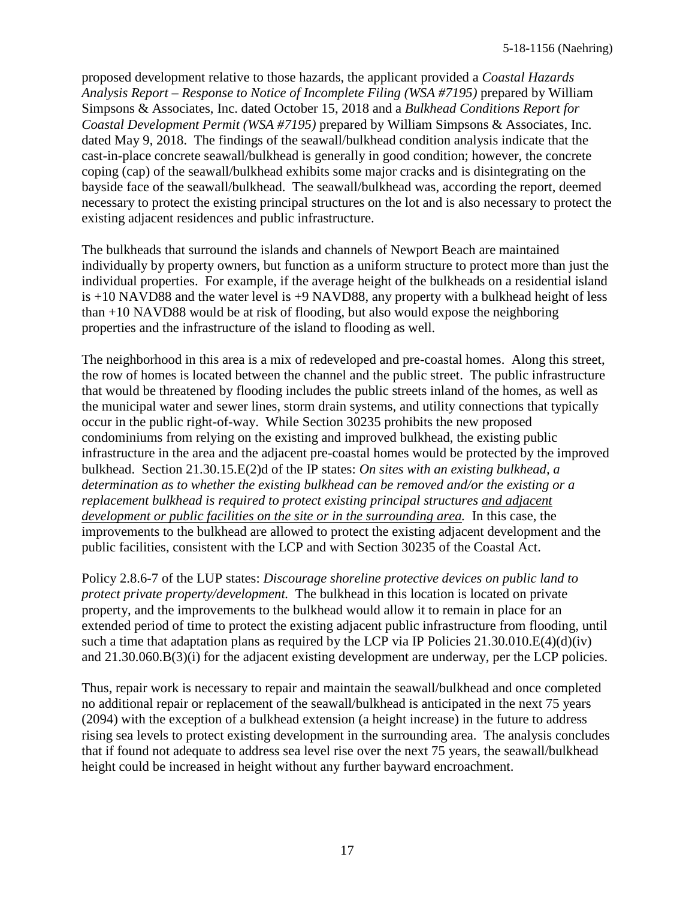proposed development relative to those hazards, the applicant provided a *Coastal Hazards Analysis Report – Response to Notice of Incomplete Filing (WSA #7195)* prepared by William Simpsons & Associates, Inc. dated October 15, 2018 and a *Bulkhead Conditions Report for Coastal Development Permit (WSA #7195)* prepared by William Simpsons & Associates, Inc. dated May 9, 2018. The findings of the seawall/bulkhead condition analysis indicate that the cast-in-place concrete seawall/bulkhead is generally in good condition; however, the concrete coping (cap) of the seawall/bulkhead exhibits some major cracks and is disintegrating on the bayside face of the seawall/bulkhead. The seawall/bulkhead was, according the report, deemed necessary to protect the existing principal structures on the lot and is also necessary to protect the existing adjacent residences and public infrastructure.

The bulkheads that surround the islands and channels of Newport Beach are maintained individually by property owners, but function as a uniform structure to protect more than just the individual properties. For example, if the average height of the bulkheads on a residential island is  $+10$  NAVD88 and the water level is  $+9$  NAVD88, any property with a bulkhead height of less than +10 NAVD88 would be at risk of flooding, but also would expose the neighboring properties and the infrastructure of the island to flooding as well.

The neighborhood in this area is a mix of redeveloped and pre-coastal homes. Along this street, the row of homes is located between the channel and the public street. The public infrastructure that would be threatened by flooding includes the public streets inland of the homes, as well as the municipal water and sewer lines, storm drain systems, and utility connections that typically occur in the public right-of-way. While Section 30235 prohibits the new proposed condominiums from relying on the existing and improved bulkhead, the existing public infrastructure in the area and the adjacent pre-coastal homes would be protected by the improved bulkhead. Section 21.30.15.E(2)d of the IP states: *On sites with an existing bulkhead, a determination as to whether the existing bulkhead can be removed and/or the existing or a replacement bulkhead is required to protect existing principal structures and adjacent development or public facilities on the site or in the surrounding area.* In this case, the improvements to the bulkhead are allowed to protect the existing adjacent development and the public facilities, consistent with the LCP and with Section 30235 of the Coastal Act.

Policy 2.8.6-7 of the LUP states: *Discourage shoreline protective devices on public land to protect private property/development.* The bulkhead in this location is located on private property, and the improvements to the bulkhead would allow it to remain in place for an extended period of time to protect the existing adjacent public infrastructure from flooding, until such a time that adaptation plans as required by the LCP via IP Policies  $21.30.010.E(4)(d)(iv)$ and 21.30.060.B(3)(i) for the adjacent existing development are underway, per the LCP policies.

Thus, repair work is necessary to repair and maintain the seawall/bulkhead and once completed no additional repair or replacement of the seawall/bulkhead is anticipated in the next 75 years (2094) with the exception of a bulkhead extension (a height increase) in the future to address rising sea levels to protect existing development in the surrounding area. The analysis concludes that if found not adequate to address sea level rise over the next 75 years, the seawall/bulkhead height could be increased in height without any further bayward encroachment.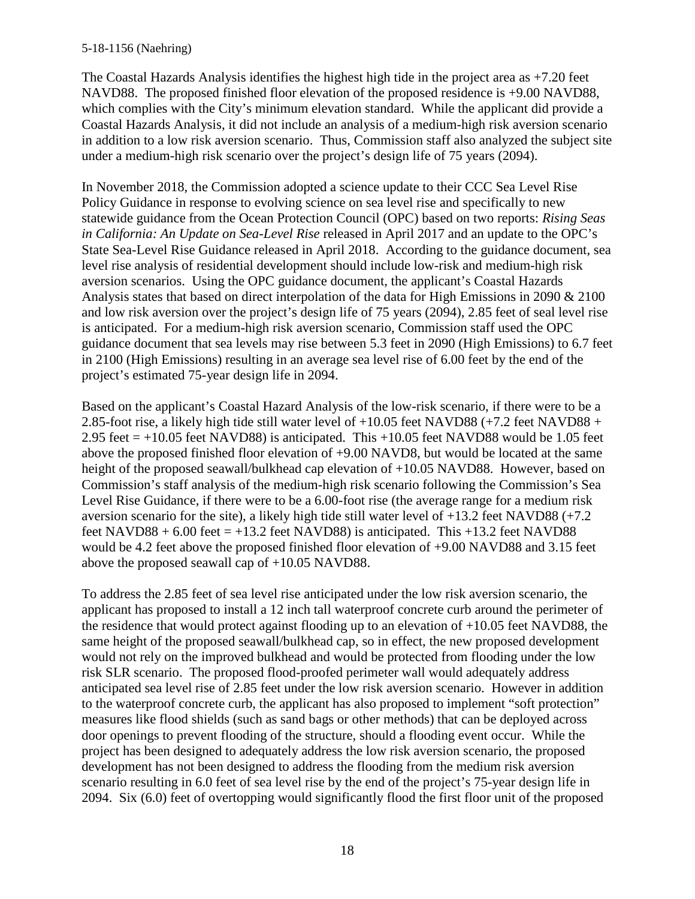The Coastal Hazards Analysis identifies the highest high tide in the project area as +7.20 feet NAVD88. The proposed finished floor elevation of the proposed residence is +9.00 NAVD88, which complies with the City's minimum elevation standard. While the applicant did provide a Coastal Hazards Analysis, it did not include an analysis of a medium-high risk aversion scenario in addition to a low risk aversion scenario. Thus, Commission staff also analyzed the subject site under a medium-high risk scenario over the project's design life of 75 years (2094).

In November 2018, the Commission adopted a science update to their CCC Sea Level Rise Policy Guidance in response to evolving science on sea level rise and specifically to new statewide guidance from the Ocean Protection Council (OPC) based on two reports: *Rising Seas in California: An Update on Sea-Level Rise* released in April 2017 and an update to the OPC's State Sea-Level Rise Guidance released in April 2018. According to the guidance document, sea level rise analysis of residential development should include low-risk and medium-high risk aversion scenarios. Using the OPC guidance document, the applicant's Coastal Hazards Analysis states that based on direct interpolation of the data for High Emissions in 2090 & 2100 and low risk aversion over the project's design life of 75 years (2094), 2.85 feet of seal level rise is anticipated. For a medium-high risk aversion scenario, Commission staff used the OPC guidance document that sea levels may rise between 5.3 feet in 2090 (High Emissions) to 6.7 feet in 2100 (High Emissions) resulting in an average sea level rise of 6.00 feet by the end of the project's estimated 75-year design life in 2094.

Based on the applicant's Coastal Hazard Analysis of the low-risk scenario, if there were to be a 2.85-foot rise, a likely high tide still water level of +10.05 feet NAVD88 (+7.2 feet NAVD88 + 2.95 feet  $= +10.05$  feet NAVD88) is anticipated. This  $+10.05$  feet NAVD88 would be 1.05 feet above the proposed finished floor elevation of +9.00 NAVD8, but would be located at the same height of the proposed seawall/bulkhead cap elevation of +10.05 NAVD88. However, based on Commission's staff analysis of the medium-high risk scenario following the Commission's Sea Level Rise Guidance, if there were to be a 6.00-foot rise (the average range for a medium risk aversion scenario for the site), a likely high tide still water level of +13.2 feet NAVD88 (+7.2 feet NAVD88 +  $6.00$  feet =  $+13.2$  feet NAVD88) is anticipated. This  $+13.2$  feet NAVD88 would be 4.2 feet above the proposed finished floor elevation of +9.00 NAVD88 and 3.15 feet above the proposed seawall cap of +10.05 NAVD88.

To address the 2.85 feet of sea level rise anticipated under the low risk aversion scenario, the applicant has proposed to install a 12 inch tall waterproof concrete curb around the perimeter of the residence that would protect against flooding up to an elevation of +10.05 feet NAVD88, the same height of the proposed seawall/bulkhead cap, so in effect, the new proposed development would not rely on the improved bulkhead and would be protected from flooding under the low risk SLR scenario. The proposed flood-proofed perimeter wall would adequately address anticipated sea level rise of 2.85 feet under the low risk aversion scenario. However in addition to the waterproof concrete curb, the applicant has also proposed to implement "soft protection" measures like flood shields (such as sand bags or other methods) that can be deployed across door openings to prevent flooding of the structure, should a flooding event occur. While the project has been designed to adequately address the low risk aversion scenario, the proposed development has not been designed to address the flooding from the medium risk aversion scenario resulting in 6.0 feet of sea level rise by the end of the project's 75-year design life in 2094. Six (6.0) feet of overtopping would significantly flood the first floor unit of the proposed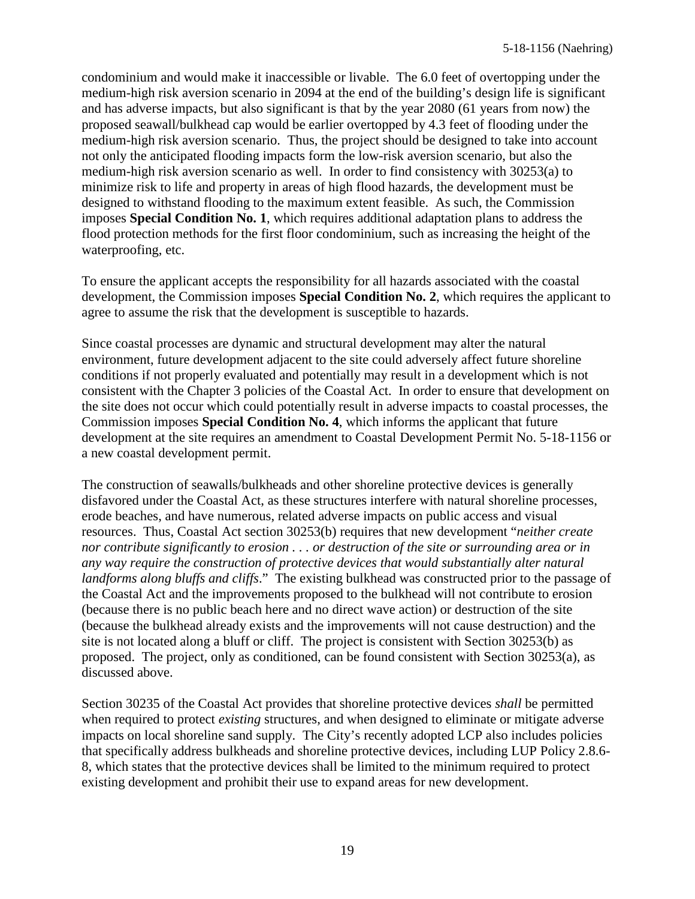condominium and would make it inaccessible or livable. The 6.0 feet of overtopping under the medium-high risk aversion scenario in 2094 at the end of the building's design life is significant and has adverse impacts, but also significant is that by the year 2080 (61 years from now) the proposed seawall/bulkhead cap would be earlier overtopped by 4.3 feet of flooding under the medium-high risk aversion scenario. Thus, the project should be designed to take into account not only the anticipated flooding impacts form the low-risk aversion scenario, but also the medium-high risk aversion scenario as well. In order to find consistency with 30253(a) to minimize risk to life and property in areas of high flood hazards, the development must be designed to withstand flooding to the maximum extent feasible. As such, the Commission imposes **Special Condition No. 1**, which requires additional adaptation plans to address the flood protection methods for the first floor condominium, such as increasing the height of the waterproofing, etc.

To ensure the applicant accepts the responsibility for all hazards associated with the coastal development, the Commission imposes **Special Condition No. 2**, which requires the applicant to agree to assume the risk that the development is susceptible to hazards.

Since coastal processes are dynamic and structural development may alter the natural environment, future development adjacent to the site could adversely affect future shoreline conditions if not properly evaluated and potentially may result in a development which is not consistent with the Chapter 3 policies of the Coastal Act. In order to ensure that development on the site does not occur which could potentially result in adverse impacts to coastal processes, the Commission imposes **Special Condition No. 4**, which informs the applicant that future development at the site requires an amendment to Coastal Development Permit No. 5-18-1156 or a new coastal development permit.

The construction of seawalls/bulkheads and other shoreline protective devices is generally disfavored under the Coastal Act, as these structures interfere with natural shoreline processes, erode beaches, and have numerous, related adverse impacts on public access and visual resources. Thus, Coastal Act section 30253(b) requires that new development "*neither create nor contribute significantly to erosion . . . or destruction of the site or surrounding area or in any way require the construction of protective devices that would substantially alter natural landforms along bluffs and cliffs*." The existing bulkhead was constructed prior to the passage of the Coastal Act and the improvements proposed to the bulkhead will not contribute to erosion (because there is no public beach here and no direct wave action) or destruction of the site (because the bulkhead already exists and the improvements will not cause destruction) and the site is not located along a bluff or cliff. The project is consistent with Section 30253(b) as proposed. The project, only as conditioned, can be found consistent with Section 30253(a), as discussed above.

Section 30235 of the Coastal Act provides that shoreline protective devices *shall* be permitted when required to protect *existing* structures, and when designed to eliminate or mitigate adverse impacts on local shoreline sand supply. The City's recently adopted LCP also includes policies that specifically address bulkheads and shoreline protective devices, including LUP Policy 2.8.6- 8, which states that the protective devices shall be limited to the minimum required to protect existing development and prohibit their use to expand areas for new development.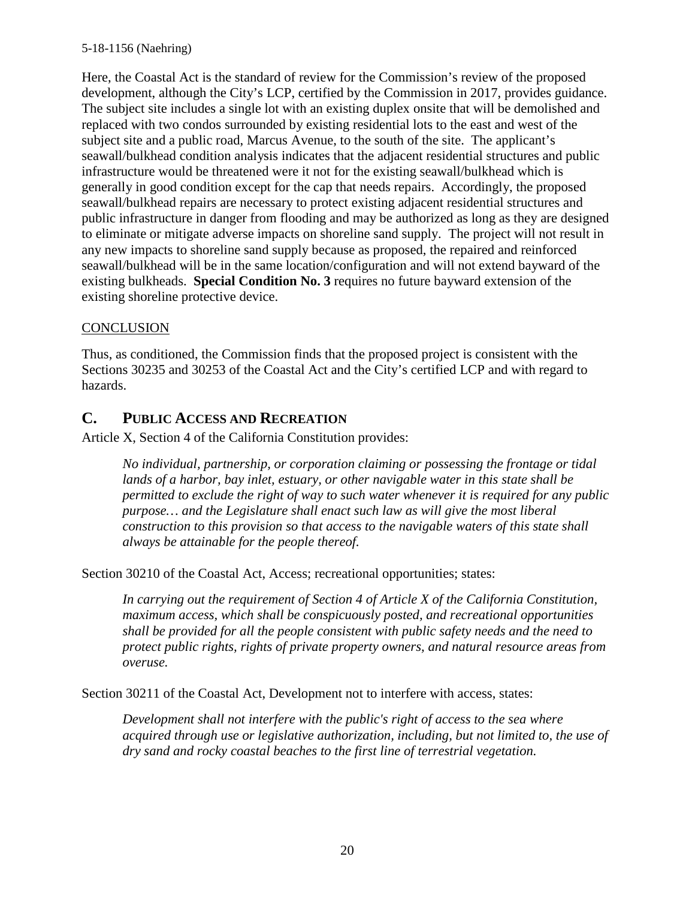Here, the Coastal Act is the standard of review for the Commission's review of the proposed development, although the City's LCP, certified by the Commission in 2017, provides guidance. The subject site includes a single lot with an existing duplex onsite that will be demolished and replaced with two condos surrounded by existing residential lots to the east and west of the subject site and a public road, Marcus Avenue, to the south of the site. The applicant's seawall/bulkhead condition analysis indicates that the adjacent residential structures and public infrastructure would be threatened were it not for the existing seawall/bulkhead which is generally in good condition except for the cap that needs repairs. Accordingly, the proposed seawall/bulkhead repairs are necessary to protect existing adjacent residential structures and public infrastructure in danger from flooding and may be authorized as long as they are designed to eliminate or mitigate adverse impacts on shoreline sand supply. The project will not result in any new impacts to shoreline sand supply because as proposed, the repaired and reinforced seawall/bulkhead will be in the same location/configuration and will not extend bayward of the existing bulkheads. **Special Condition No. 3** requires no future bayward extension of the existing shoreline protective device.

#### **CONCLUSION**

Thus, as conditioned, the Commission finds that the proposed project is consistent with the Sections 30235 and 30253 of the Coastal Act and the City's certified LCP and with regard to hazards.

### <span id="page-19-0"></span>**C. PUBLIC ACCESS AND RECREATION**

Article X, Section 4 of the California Constitution provides:

*No individual, partnership, or corporation claiming or possessing the frontage or tidal lands of a harbor, bay inlet, estuary, or other navigable water in this state shall be permitted to exclude the right of way to such water whenever it is required for any public purpose… and the Legislature shall enact such law as will give the most liberal construction to this provision so that access to the navigable waters of this state shall always be attainable for the people thereof.*

Section 30210 of the Coastal Act, Access; recreational opportunities; states:

*In carrying out the requirement of Section 4 of Article X of the California Constitution, maximum access, which shall be conspicuously posted, and recreational opportunities shall be provided for all the people consistent with public safety needs and the need to protect public rights, rights of private property owners, and natural resource areas from overuse.*

Section 30211 of the Coastal Act, Development not to interfere with access, states:

*Development shall not interfere with the public's right of access to the sea where acquired through use or legislative authorization, including, but not limited to, the use of dry sand and rocky coastal beaches to the first line of terrestrial vegetation.*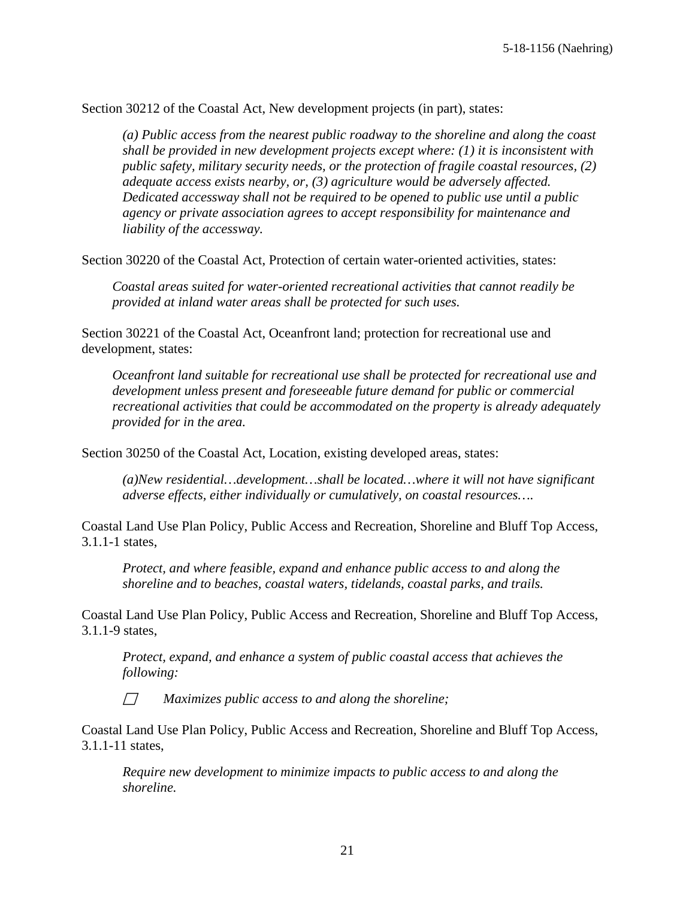Section 30212 of the Coastal Act, New development projects (in part), states:

*(a) Public access from the nearest public roadway to the shoreline and along the coast shall be provided in new development projects except where: (1) it is inconsistent with public safety, military security needs, or the protection of fragile coastal resources, (2) adequate access exists nearby, or, (3) agriculture would be adversely affected. Dedicated accessway shall not be required to be opened to public use until a public agency or private association agrees to accept responsibility for maintenance and liability of the accessway.*

Section 30220 of the Coastal Act, Protection of certain water-oriented activities, states:

*Coastal areas suited for water-oriented recreational activities that cannot readily be provided at inland water areas shall be protected for such uses.*

Section 30221 of the Coastal Act, Oceanfront land; protection for recreational use and development, states:

*Oceanfront land suitable for recreational use shall be protected for recreational use and development unless present and foreseeable future demand for public or commercial recreational activities that could be accommodated on the property is already adequately provided for in the area.*

Section 30250 of the Coastal Act, Location, existing developed areas, states:

*(a)New residential…development…shall be located…where it will not have significant adverse effects, either individually or cumulatively, on coastal resources….*

Coastal Land Use Plan Policy, Public Access and Recreation, Shoreline and Bluff Top Access, 3.1.1-1 states,

*Protect, and where feasible, expand and enhance public access to and along the shoreline and to beaches, coastal waters, tidelands, coastal parks, and trails.*

Coastal Land Use Plan Policy, Public Access and Recreation, Shoreline and Bluff Top Access, 3.1.1-9 states,

*Protect, expand, and enhance a system of public coastal access that achieves the following:*

*Maximizes public access to and along the shoreline;*

Coastal Land Use Plan Policy, Public Access and Recreation, Shoreline and Bluff Top Access, 3.1.1-11 states,

*Require new development to minimize impacts to public access to and along the shoreline.*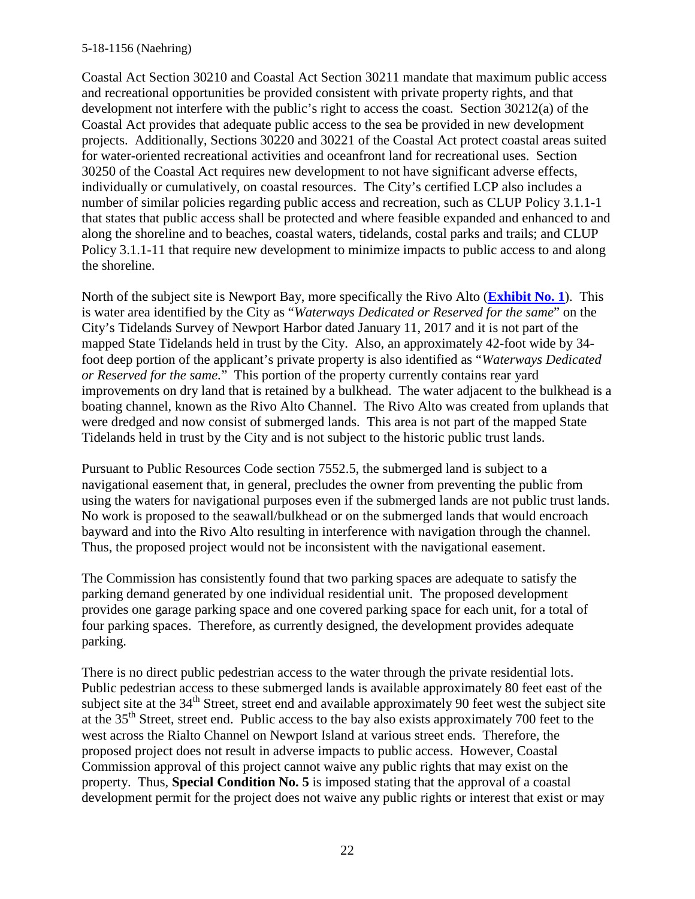Coastal Act Section 30210 and Coastal Act Section 30211 mandate that maximum public access and recreational opportunities be provided consistent with private property rights, and that development not interfere with the public's right to access the coast. Section 30212(a) of the Coastal Act provides that adequate public access to the sea be provided in new development projects. Additionally, Sections 30220 and 30221 of the Coastal Act protect coastal areas suited for water-oriented recreational activities and oceanfront land for recreational uses. Section 30250 of the Coastal Act requires new development to not have significant adverse effects, individually or cumulatively, on coastal resources. The City's certified LCP also includes a number of similar policies regarding public access and recreation, such as CLUP Policy 3.1.1-1 that states that public access shall be protected and where feasible expanded and enhanced to and along the shoreline and to beaches, coastal waters, tidelands, costal parks and trails; and CLUP Policy 3.1.1-11 that require new development to minimize impacts to public access to and along the shoreline.

North of the subject site is Newport Bay, more specifically the Rivo Alto (**[Exhibit No. 1](https://documents.coastal.ca.gov/reports/2019/7/W27f/W27f-7-2019-exhibits.pdf)**). This is water area identified by the City as "*Waterways Dedicated or Reserved for the same*" on the City's Tidelands Survey of Newport Harbor dated January 11, 2017 and it is not part of the mapped State Tidelands held in trust by the City. Also, an approximately 42-foot wide by 34 foot deep portion of the applicant's private property is also identified as "*Waterways Dedicated or Reserved for the same.*" This portion of the property currently contains rear yard improvements on dry land that is retained by a bulkhead. The water adjacent to the bulkhead is a boating channel, known as the Rivo Alto Channel. The Rivo Alto was created from uplands that were dredged and now consist of submerged lands. This area is not part of the mapped State Tidelands held in trust by the City and is not subject to the historic public trust lands.

Pursuant to Public Resources Code section 7552.5, the submerged land is subject to a navigational easement that, in general, precludes the owner from preventing the public from using the waters for navigational purposes even if the submerged lands are not public trust lands. No work is proposed to the seawall/bulkhead or on the submerged lands that would encroach bayward and into the Rivo Alto resulting in interference with navigation through the channel. Thus, the proposed project would not be inconsistent with the navigational easement.

The Commission has consistently found that two parking spaces are adequate to satisfy the parking demand generated by one individual residential unit. The proposed development provides one garage parking space and one covered parking space for each unit, for a total of four parking spaces. Therefore, as currently designed, the development provides adequate parking.

There is no direct public pedestrian access to the water through the private residential lots. Public pedestrian access to these submerged lands is available approximately 80 feet east of the subject site at the  $34<sup>th</sup>$  Street, street end and available approximately 90 feet west the subject site at the 35th Street, street end. Public access to the bay also exists approximately 700 feet to the west across the Rialto Channel on Newport Island at various street ends. Therefore, the proposed project does not result in adverse impacts to public access. However, Coastal Commission approval of this project cannot waive any public rights that may exist on the property. Thus, **Special Condition No. 5** is imposed stating that the approval of a coastal development permit for the project does not waive any public rights or interest that exist or may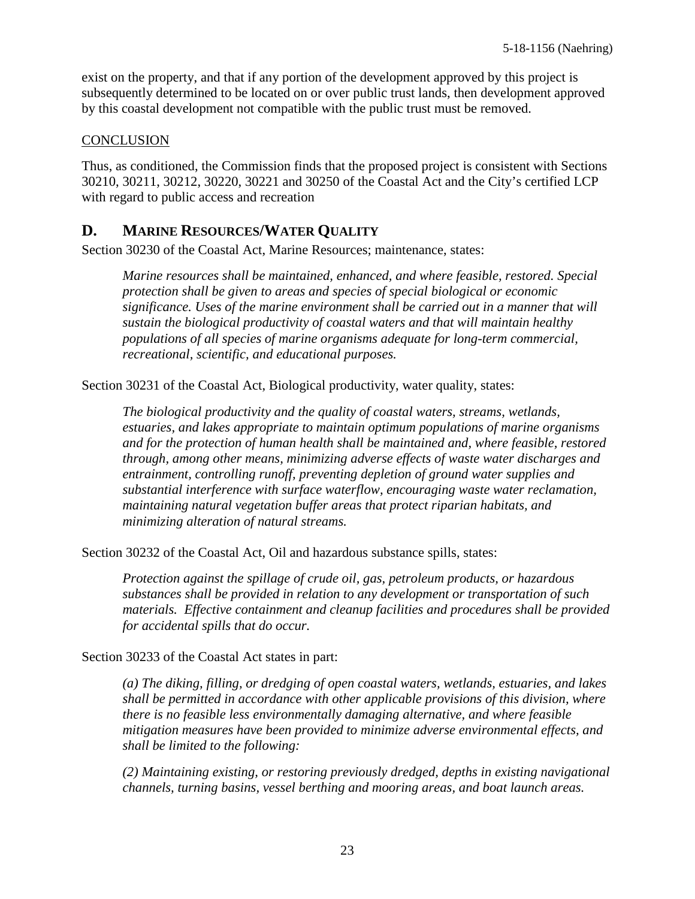exist on the property, and that if any portion of the development approved by this project is subsequently determined to be located on or over public trust lands, then development approved by this coastal development not compatible with the public trust must be removed.

#### **CONCLUSION**

Thus, as conditioned, the Commission finds that the proposed project is consistent with Sections 30210, 30211, 30212, 30220, 30221 and 30250 of the Coastal Act and the City's certified LCP with regard to public access and recreation

### <span id="page-22-0"></span>**D. MARINE RESOURCES/WATER QUALITY**

Section 30230 of the Coastal Act, Marine Resources; maintenance, states:

*Marine resources shall be maintained, enhanced, and where feasible, restored. Special protection shall be given to areas and species of special biological or economic significance. Uses of the marine environment shall be carried out in a manner that will sustain the biological productivity of coastal waters and that will maintain healthy populations of all species of marine organisms adequate for long-term commercial, recreational, scientific, and educational purposes.*

Section 30231 of the Coastal Act, Biological productivity, water quality, states:

*The biological productivity and the quality of coastal waters, streams, wetlands, estuaries, and lakes appropriate to maintain optimum populations of marine organisms and for the protection of human health shall be maintained and, where feasible, restored through, among other means, minimizing adverse effects of waste water discharges and entrainment, controlling runoff, preventing depletion of ground water supplies and substantial interference with surface waterflow, encouraging waste water reclamation, maintaining natural vegetation buffer areas that protect riparian habitats, and minimizing alteration of natural streams.*

Section 30232 of the Coastal Act, Oil and hazardous substance spills, states:

*Protection against the spillage of crude oil, gas, petroleum products, or hazardous substances shall be provided in relation to any development or transportation of such materials. Effective containment and cleanup facilities and procedures shall be provided for accidental spills that do occur.*

Section 30233 of the Coastal Act states in part:

*(a) The diking, filling, or dredging of open coastal waters, wetlands, estuaries, and lakes shall be permitted in accordance with other applicable provisions of this division, where there is no feasible less environmentally damaging alternative, and where feasible mitigation measures have been provided to minimize adverse environmental effects, and shall be limited to the following:*

*(2) Maintaining existing, or restoring previously dredged, depths in existing navigational channels, turning basins, vessel berthing and mooring areas, and boat launch areas.*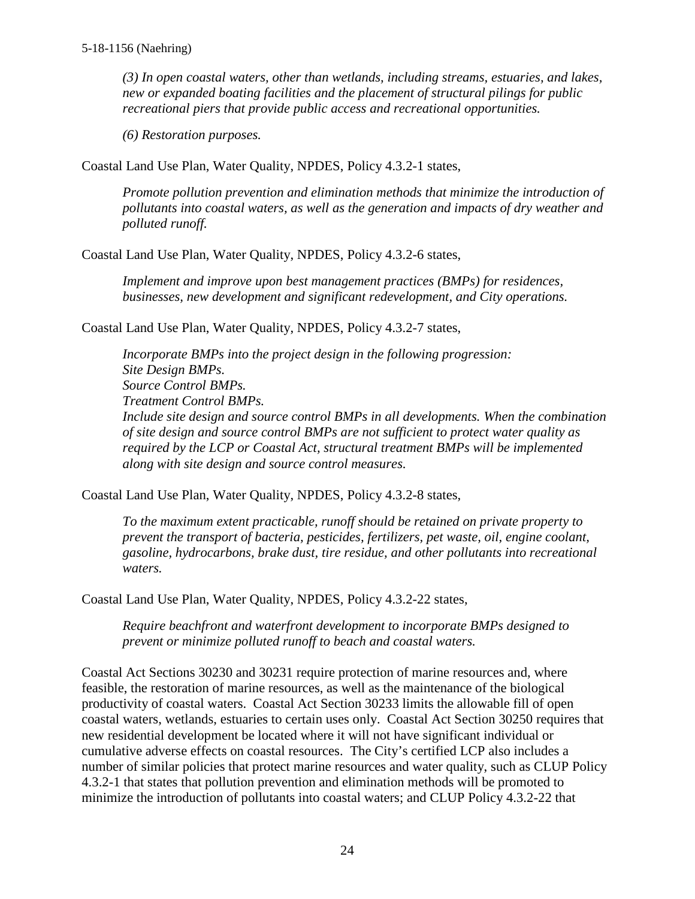*(3) In open coastal waters, other than wetlands, including streams, estuaries, and lakes, new or expanded boating facilities and the placement of structural pilings for public recreational piers that provide public access and recreational opportunities.*

*(6) Restoration purposes.*

Coastal Land Use Plan, Water Quality, NPDES, Policy 4.3.2-1 states,

*Promote pollution prevention and elimination methods that minimize the introduction of pollutants into coastal waters, as well as the generation and impacts of dry weather and polluted runoff.*

Coastal Land Use Plan, Water Quality, NPDES, Policy 4.3.2-6 states,

*Implement and improve upon best management practices (BMPs) for residences, businesses, new development and significant redevelopment, and City operations.*

Coastal Land Use Plan, Water Quality, NPDES, Policy 4.3.2-7 states,

*Incorporate BMPs into the project design in the following progression: Site Design BMPs. Source Control BMPs. Treatment Control BMPs. Include site design and source control BMPs in all developments. When the combination of site design and source control BMPs are not sufficient to protect water quality as required by the LCP or Coastal Act, structural treatment BMPs will be implemented along with site design and source control measures.*

Coastal Land Use Plan, Water Quality, NPDES, Policy 4.3.2-8 states,

*To the maximum extent practicable, runoff should be retained on private property to prevent the transport of bacteria, pesticides, fertilizers, pet waste, oil, engine coolant, gasoline, hydrocarbons, brake dust, tire residue, and other pollutants into recreational waters.*

Coastal Land Use Plan, Water Quality, NPDES, Policy 4.3.2-22 states,

*Require beachfront and waterfront development to incorporate BMPs designed to prevent or minimize polluted runoff to beach and coastal waters.*

Coastal Act Sections 30230 and 30231 require protection of marine resources and, where feasible, the restoration of marine resources, as well as the maintenance of the biological productivity of coastal waters. Coastal Act Section 30233 limits the allowable fill of open coastal waters, wetlands, estuaries to certain uses only. Coastal Act Section 30250 requires that new residential development be located where it will not have significant individual or cumulative adverse effects on coastal resources. The City's certified LCP also includes a number of similar policies that protect marine resources and water quality, such as CLUP Policy 4.3.2-1 that states that pollution prevention and elimination methods will be promoted to minimize the introduction of pollutants into coastal waters; and CLUP Policy 4.3.2-22 that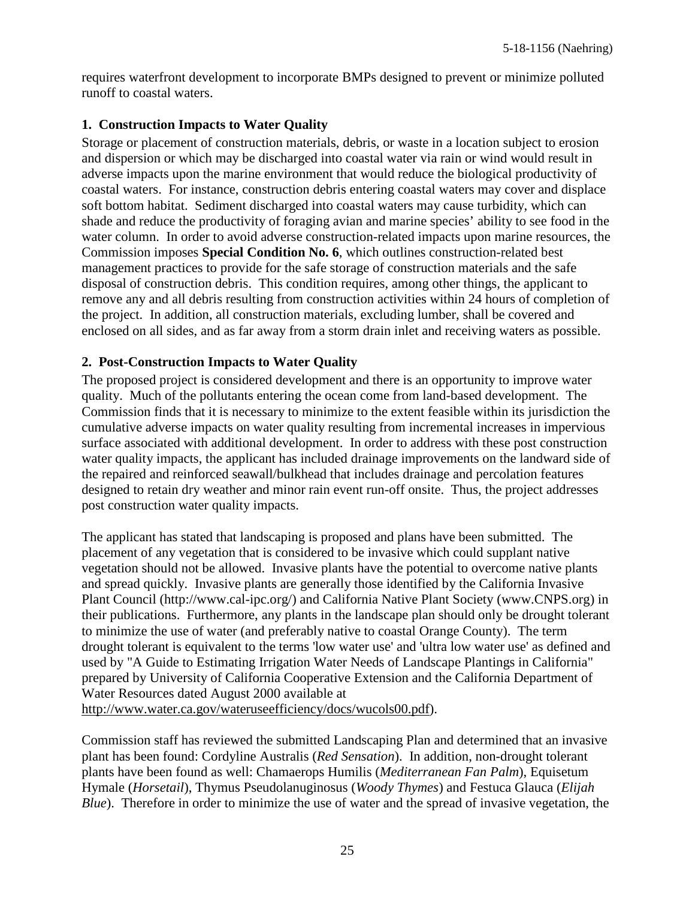requires waterfront development to incorporate BMPs designed to prevent or minimize polluted runoff to coastal waters.

### **1. Construction Impacts to Water Quality**

Storage or placement of construction materials, debris, or waste in a location subject to erosion and dispersion or which may be discharged into coastal water via rain or wind would result in adverse impacts upon the marine environment that would reduce the biological productivity of coastal waters. For instance, construction debris entering coastal waters may cover and displace soft bottom habitat. Sediment discharged into coastal waters may cause turbidity, which can shade and reduce the productivity of foraging avian and marine species' ability to see food in the water column. In order to avoid adverse construction-related impacts upon marine resources, the Commission imposes **Special Condition No. 6**, which outlines construction-related best management practices to provide for the safe storage of construction materials and the safe disposal of construction debris. This condition requires, among other things, the applicant to remove any and all debris resulting from construction activities within 24 hours of completion of the project. In addition, all construction materials, excluding lumber, shall be covered and enclosed on all sides, and as far away from a storm drain inlet and receiving waters as possible.

### **2. Post-Construction Impacts to Water Quality**

The proposed project is considered development and there is an opportunity to improve water quality. Much of the pollutants entering the ocean come from land-based development. The Commission finds that it is necessary to minimize to the extent feasible within its jurisdiction the cumulative adverse impacts on water quality resulting from incremental increases in impervious surface associated with additional development. In order to address with these post construction water quality impacts, the applicant has included drainage improvements on the landward side of the repaired and reinforced seawall/bulkhead that includes drainage and percolation features designed to retain dry weather and minor rain event run-off onsite. Thus, the project addresses post construction water quality impacts.

The applicant has stated that landscaping is proposed and plans have been submitted. The placement of any vegetation that is considered to be invasive which could supplant native vegetation should not be allowed. Invasive plants have the potential to overcome native plants and spread quickly. Invasive plants are generally those identified by the California Invasive Plant Council (http://www.cal-ipc.org/) and California Native Plant Society (www.CNPS.org) in their publications. Furthermore, any plants in the landscape plan should only be drought tolerant to minimize the use of water (and preferably native to coastal Orange County). The term drought tolerant is equivalent to the terms 'low water use' and 'ultra low water use' as defined and used by "A Guide to Estimating Irrigation Water Needs of Landscape Plantings in California" prepared by University of California Cooperative Extension and the California Department of Water Resources dated August 2000 available at

[http://www.water.ca.gov/wateruseefficiency/docs/wucols00.pdf\)](http://www.water.ca.gov/wateruseefficiency/docs/wucols00.pdf).

Commission staff has reviewed the submitted Landscaping Plan and determined that an invasive plant has been found: Cordyline Australis (*Red Sensation*). In addition, non-drought tolerant plants have been found as well: Chamaerops Humilis (*Mediterranean Fan Palm*), Equisetum Hymale (*Horsetail*), Thymus Pseudolanuginosus (*Woody Thymes*) and Festuca Glauca (*Elijah Blue*). Therefore in order to minimize the use of water and the spread of invasive vegetation, the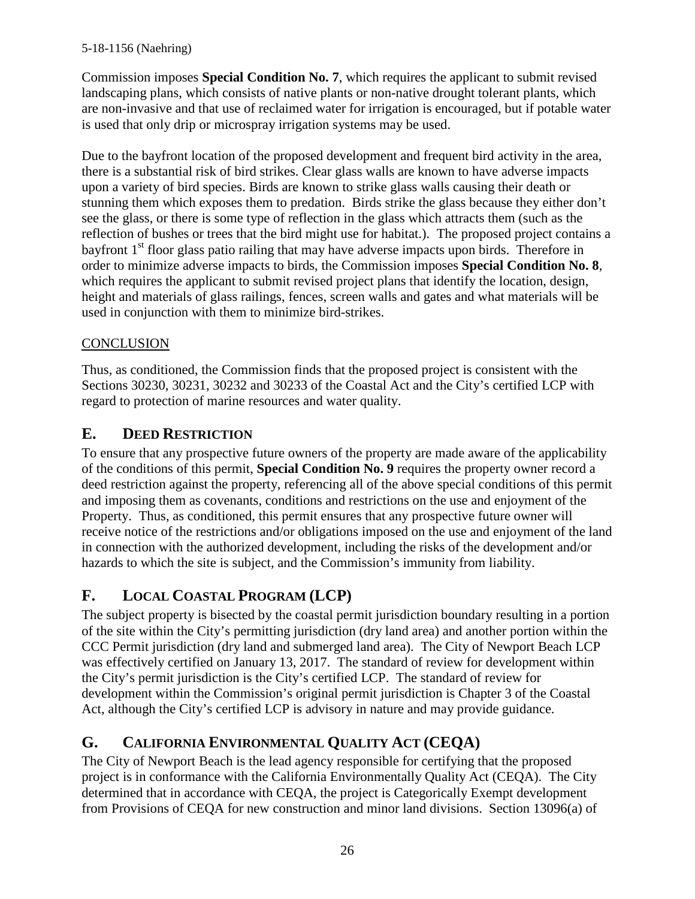Commission imposes **Special Condition No. 7**, which requires the applicant to submit revised landscaping plans, which consists of native plants or non-native drought tolerant plants, which are non-invasive and that use of reclaimed water for irrigation is encouraged, but if potable water is used that only drip or microspray irrigation systems may be used.

Due to the bayfront location of the proposed development and frequent bird activity in the area, there is a substantial risk of bird strikes. Clear glass walls are known to have adverse impacts upon a variety of bird species. Birds are known to strike glass walls causing their death or stunning them which exposes them to predation. Birds strike the glass because they either don't see the glass, or there is some type of reflection in the glass which attracts them (such as the reflection of bushes or trees that the bird might use for habitat.). The proposed project contains a bayfront  $1<sup>st</sup>$  floor glass patio railing that may have adverse impacts upon birds. Therefore in order to minimize adverse impacts to birds, the Commission imposes **Special Condition No. 8**, which requires the applicant to submit revised project plans that identify the location, design, height and materials of glass railings, fences, screen walls and gates and what materials will be used in conjunction with them to minimize bird-strikes.

### **CONCLUSION**

Thus, as conditioned, the Commission finds that the proposed project is consistent with the Sections 30230, 30231, 30232 and 30233 of the Coastal Act and the City's certified LCP with regard to protection of marine resources and water quality.

# <span id="page-25-0"></span>**E. DEED RESTRICTION**

To ensure that any prospective future owners of the property are made aware of the applicability of the conditions of this permit, **Special Condition No. 9** requires the property owner record a deed restriction against the property, referencing all of the above special conditions of this permit and imposing them as covenants, conditions and restrictions on the use and enjoyment of the Property. Thus, as conditioned, this permit ensures that any prospective future owner will receive notice of the restrictions and/or obligations imposed on the use and enjoyment of the land in connection with the authorized development, including the risks of the development and/or hazards to which the site is subject, and the Commission's immunity from liability.

# <span id="page-25-1"></span>**F. LOCAL COASTAL PROGRAM (LCP)**

The subject property is bisected by the coastal permit jurisdiction boundary resulting in a portion of the site within the City's permitting jurisdiction (dry land area) and another portion within the CCC Permit jurisdiction (dry land and submerged land area). The City of Newport Beach LCP was effectively certified on January 13, 2017. The standard of review for development within the City's permit jurisdiction is the City's certified LCP. The standard of review for development within the Commission's original permit jurisdiction is Chapter 3 of the Coastal Act, although the City's certified LCP is advisory in nature and may provide guidance.

# <span id="page-25-2"></span>**G. CALIFORNIA ENVIRONMENTAL QUALITY ACT (CEQA)**

The City of Newport Beach is the lead agency responsible for certifying that the proposed project is in conformance with the California Environmentally Quality Act (CEQA). The City determined that in accordance with CEQA, the project is Categorically Exempt development from Provisions of CEQA for new construction and minor land divisions. Section 13096(a) of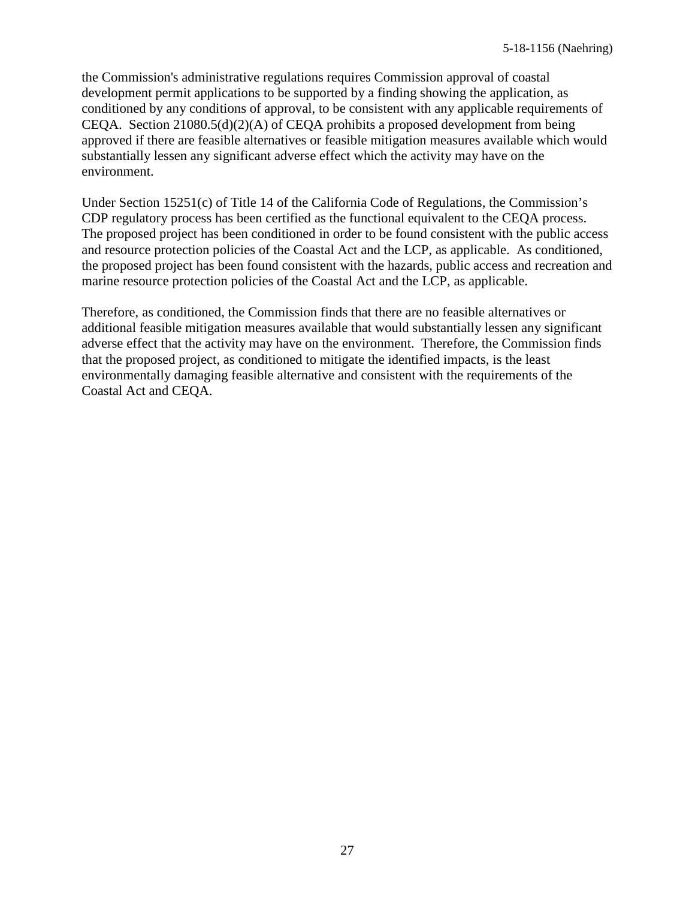the Commission's administrative regulations requires Commission approval of coastal development permit applications to be supported by a finding showing the application, as conditioned by any conditions of approval, to be consistent with any applicable requirements of CEQA. Section 21080.5(d)(2)(A) of CEQA prohibits a proposed development from being approved if there are feasible alternatives or feasible mitigation measures available which would substantially lessen any significant adverse effect which the activity may have on the environment.

Under Section 15251(c) of Title 14 of the California Code of Regulations, the Commission's CDP regulatory process has been certified as the functional equivalent to the CEQA process. The proposed project has been conditioned in order to be found consistent with the public access and resource protection policies of the Coastal Act and the LCP, as applicable. As conditioned, the proposed project has been found consistent with the hazards, public access and recreation and marine resource protection policies of the Coastal Act and the LCP, as applicable.

Therefore, as conditioned, the Commission finds that there are no feasible alternatives or additional feasible mitigation measures available that would substantially lessen any significant adverse effect that the activity may have on the environment. Therefore, the Commission finds that the proposed project, as conditioned to mitigate the identified impacts, is the least environmentally damaging feasible alternative and consistent with the requirements of the Coastal Act and CEQA.